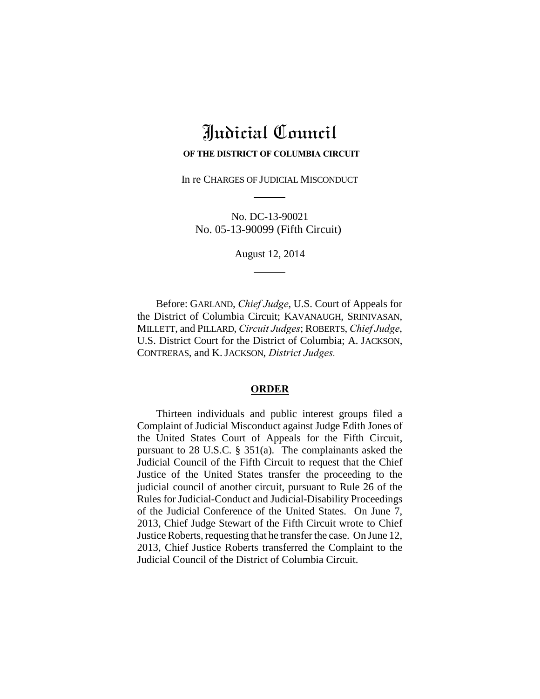# Judicial Council

#### **OF THE DISTRICT OF COLUMBIA CIRCUIT**

In re CHARGES OF JUDICIAL MISCONDUCT

No. DC-13-90021 No. 05-13-90099 (Fifth Circuit)

August 12, 2014

Before: GARLAND, *Chief Judge*, U.S. Court of Appeals for the District of Columbia Circuit; KAVANAUGH, SRINIVASAN, MILLETT, and PILLARD, *Circuit Judges*; ROBERTS, *Chief Judge*, U.S. District Court for the District of Columbia; A. JACKSON, CONTRERAS, and K.JACKSON, *District Judges.*

## **ORDER**

Thirteen individuals and public interest groups filed a Complaint of Judicial Misconduct against Judge Edith Jones of the United States Court of Appeals for the Fifth Circuit, pursuant to 28 U.S.C. § 351(a). The complainants asked the Judicial Council of the Fifth Circuit to request that the Chief Justice of the United States transfer the proceeding to the judicial council of another circuit, pursuant to Rule 26 of the Rules for Judicial-Conduct and Judicial-Disability Proceedings of the Judicial Conference of the United States. On June 7, 2013, Chief Judge Stewart of the Fifth Circuit wrote to Chief Justice Roberts, requesting that he transfer the case. On June 12, 2013, Chief Justice Roberts transferred the Complaint to the Judicial Council of the District of Columbia Circuit.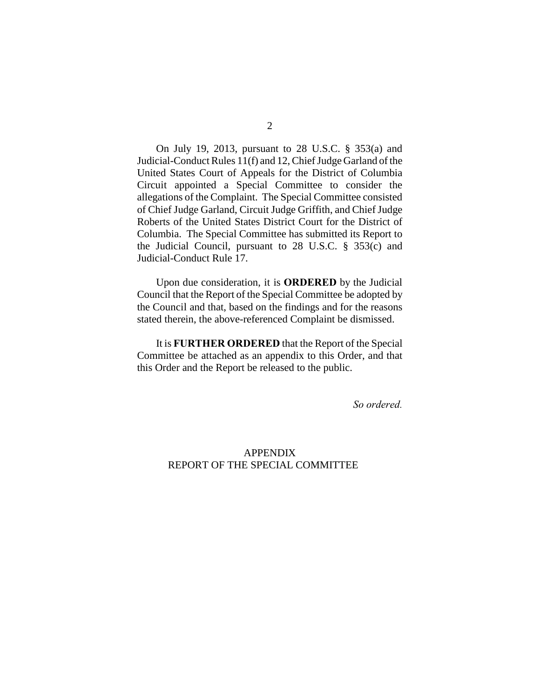On July 19, 2013, pursuant to 28 U.S.C. § 353(a) and Judicial-Conduct Rules 11(f) and 12, Chief Judge Garland of the United States Court of Appeals for the District of Columbia Circuit appointed a Special Committee to consider the allegations of the Complaint. The Special Committee consisted of Chief Judge Garland, Circuit Judge Griffith, and Chief Judge Roberts of the United States District Court for the District of Columbia. The Special Committee has submitted its Report to the Judicial Council, pursuant to 28 U.S.C. § 353(c) and Judicial-Conduct Rule 17.

Upon due consideration, it is **ORDERED** by the Judicial Council that the Report of the Special Committee be adopted by the Council and that, based on the findings and for the reasons stated therein, the above-referenced Complaint be dismissed.

It is **FURTHER ORDERED** that the Report of the Special Committee be attached as an appendix to this Order, and that this Order and the Report be released to the public.

*So ordered.*

## APPENDIX REPORT OF THE SPECIAL COMMITTEE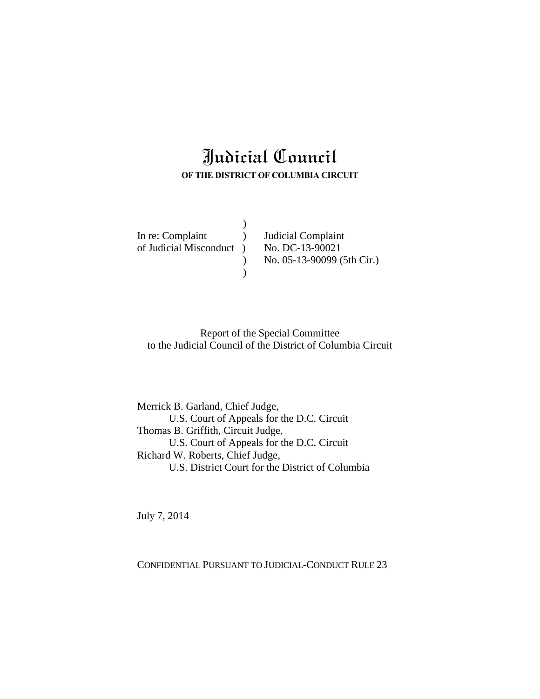## Judicial Council **OF THE DISTRICT OF COLUMBIA CIRCUIT**

 $\overline{)}$ 

 $\mathcal{L}$ 

In re: Complaint ) Judicial Complaint of Judicial Misconduct ) No. DC-13-90021

) No. 05-13-90099 (5th Cir.)

Report of the Special Committee to the Judicial Council of the District of Columbia Circuit

Merrick B. Garland, Chief Judge, U.S. Court of Appeals for the D.C. Circuit Thomas B. Griffith, Circuit Judge, U.S. Court of Appeals for the D.C. Circuit Richard W. Roberts, Chief Judge, U.S. District Court for the District of Columbia

July 7, 2014

CONFIDENTIAL PURSUANT TO JUDICIAL-CONDUCT RULE 23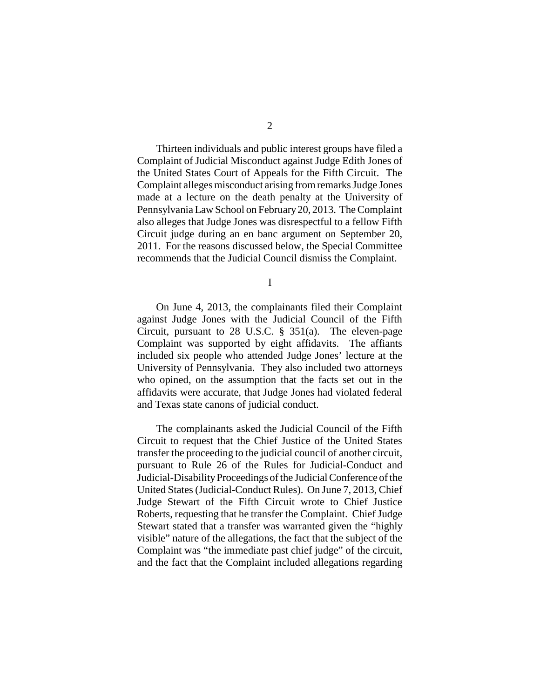Thirteen individuals and public interest groups have filed a Complaint of Judicial Misconduct against Judge Edith Jones of the United States Court of Appeals for the Fifth Circuit. The Complaint alleges misconduct arising from remarks Judge Jones made at a lecture on the death penalty at the University of Pennsylvania Law School on February 20, 2013. The Complaint also alleges that Judge Jones was disrespectful to a fellow Fifth Circuit judge during an en banc argument on September 20, 2011. For the reasons discussed below, the Special Committee recommends that the Judicial Council dismiss the Complaint.

I

On June 4, 2013, the complainants filed their Complaint against Judge Jones with the Judicial Council of the Fifth Circuit, pursuant to 28 U.S.C. § 351(a). The eleven-page Complaint was supported by eight affidavits. The affiants included six people who attended Judge Jones' lecture at the University of Pennsylvania. They also included two attorneys who opined, on the assumption that the facts set out in the affidavits were accurate, that Judge Jones had violated federal and Texas state canons of judicial conduct.

The complainants asked the Judicial Council of the Fifth Circuit to request that the Chief Justice of the United States transfer the proceeding to the judicial council of another circuit, pursuant to Rule 26 of the Rules for Judicial-Conduct and Judicial-Disability Proceedings of the Judicial Conference of the United States (Judicial-Conduct Rules). On June 7, 2013, Chief Judge Stewart of the Fifth Circuit wrote to Chief Justice Roberts, requesting that he transfer the Complaint. Chief Judge Stewart stated that a transfer was warranted given the "highly visible" nature of the allegations, the fact that the subject of the Complaint was "the immediate past chief judge" of the circuit, and the fact that the Complaint included allegations regarding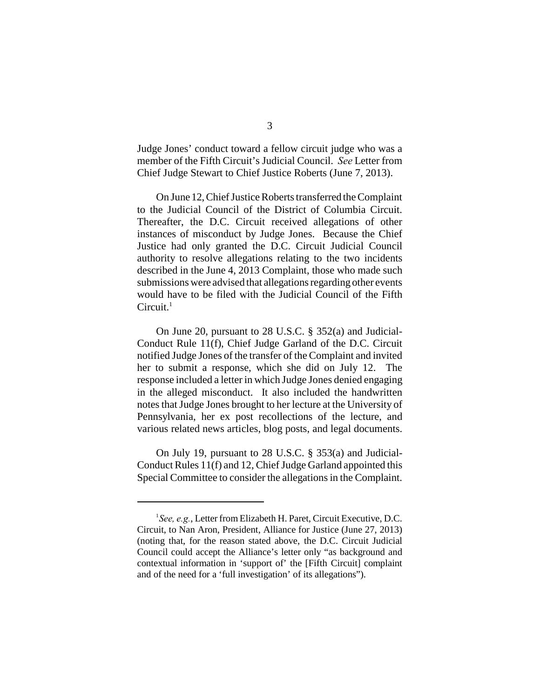Judge Jones' conduct toward a fellow circuit judge who was a member of the Fifth Circuit's Judicial Council. *See* Letter from Chief Judge Stewart to Chief Justice Roberts (June 7, 2013).

On June 12, Chief Justice Roberts transferred the Complaint to the Judicial Council of the District of Columbia Circuit. Thereafter, the D.C. Circuit received allegations of other instances of misconduct by Judge Jones. Because the Chief Justice had only granted the D.C. Circuit Judicial Council authority to resolve allegations relating to the two incidents described in the June 4, 2013 Complaint, those who made such submissions were advised that allegations regarding other events would have to be filed with the Judicial Council of the Fifth  $Circuit.<sup>1</sup>$ 

On June 20, pursuant to 28 U.S.C. § 352(a) and Judicial-Conduct Rule 11(f), Chief Judge Garland of the D.C. Circuit notified Judge Jones of the transfer of the Complaint and invited her to submit a response, which she did on July 12. The response included a letter in which Judge Jones denied engaging in the alleged misconduct. It also included the handwritten notes that Judge Jones brought to her lecture at the University of Pennsylvania, her ex post recollections of the lecture, and various related news articles, blog posts, and legal documents.

On July 19, pursuant to 28 U.S.C. § 353(a) and Judicial-Conduct Rules 11(f) and 12, Chief Judge Garland appointed this Special Committee to consider the allegations in the Complaint.

<sup>&</sup>lt;sup>1</sup> See, e.g., Letter from Elizabeth H. Paret, Circuit Executive, D.C. Circuit, to Nan Aron, President, Alliance for Justice (June 27, 2013) (noting that, for the reason stated above, the D.C. Circuit Judicial Council could accept the Alliance's letter only "as background and contextual information in 'support of' the [Fifth Circuit] complaint and of the need for a 'full investigation' of its allegations").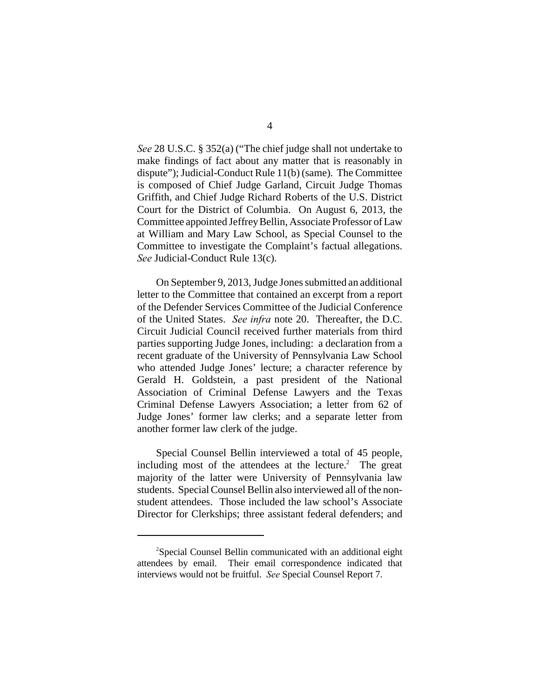*See* 28 U.S.C. § 352(a) ("The chief judge shall not undertake to make findings of fact about any matter that is reasonably in dispute"); Judicial-Conduct Rule 11(b) (same). The Committee is composed of Chief Judge Garland, Circuit Judge Thomas Griffith, and Chief Judge Richard Roberts of the U.S. District Court for the District of Columbia. On August 6, 2013, the Committee appointed Jeffrey Bellin, Associate Professor of Law at William and Mary Law School, as Special Counsel to the Committee to investigate the Complaint's factual allegations. *See* Judicial-Conduct Rule 13(c).

On September 9, 2013, Judge Jones submitted an additional letter to the Committee that contained an excerpt from a report of the Defender Services Committee of the Judicial Conference of the United States. *See infra* note 20. Thereafter, the D.C. Circuit Judicial Council received further materials from third parties supporting Judge Jones, including: a declaration from a recent graduate of the University of Pennsylvania Law School who attended Judge Jones' lecture; a character reference by Gerald H. Goldstein, a past president of the National Association of Criminal Defense Lawyers and the Texas Criminal Defense Lawyers Association; a letter from 62 of Judge Jones' former law clerks; and a separate letter from another former law clerk of the judge.

Special Counsel Bellin interviewed a total of 45 people, including most of the attendees at the lecture.<sup>2</sup> The great majority of the latter were University of Pennsylvania law students. Special Counsel Bellin also interviewed all of the nonstudent attendees. Those included the law school's Associate Director for Clerkships; three assistant federal defenders; and

<sup>&</sup>lt;sup>2</sup>Special Counsel Bellin communicated with an additional eight attendees by email. Their email correspondence indicated that interviews would not be fruitful. *See* Special Counsel Report 7.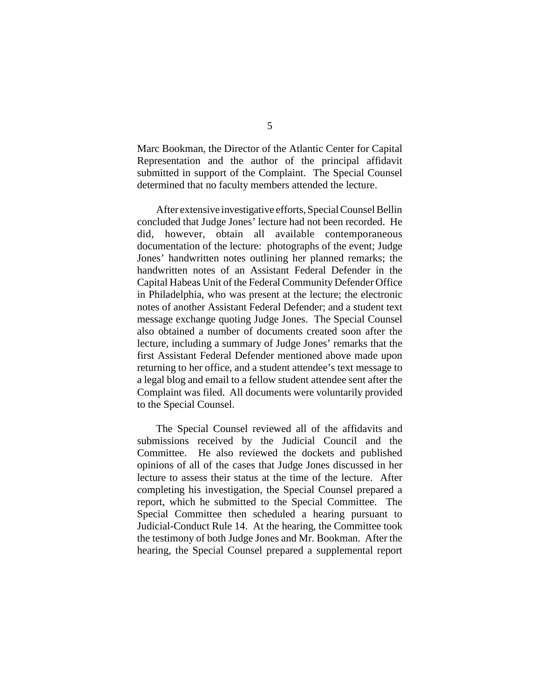Marc Bookman, the Director of the Atlantic Center for Capital Representation and the author of the principal affidavit submitted in support of the Complaint. The Special Counsel determined that no faculty members attended the lecture.

After extensive investigative efforts, Special Counsel Bellin concluded that Judge Jones' lecture had not been recorded. He did, however, obtain all available contemporaneous documentation of the lecture: photographs of the event; Judge Jones' handwritten notes outlining her planned remarks; the handwritten notes of an Assistant Federal Defender in the Capital Habeas Unit of the Federal Community Defender Office in Philadelphia, who was present at the lecture; the electronic notes of another Assistant Federal Defender; and a student text message exchange quoting Judge Jones. The Special Counsel also obtained a number of documents created soon after the lecture, including a summary of Judge Jones' remarks that the first Assistant Federal Defender mentioned above made upon returning to her office, and a student attendee's text message to a legal blog and email to a fellow student attendee sent after the Complaint was filed. All documents were voluntarily provided to the Special Counsel.

The Special Counsel reviewed all of the affidavits and submissions received by the Judicial Council and the Committee. He also reviewed the dockets and published opinions of all of the cases that Judge Jones discussed in her lecture to assess their status at the time of the lecture. After completing his investigation, the Special Counsel prepared a report, which he submitted to the Special Committee. The Special Committee then scheduled a hearing pursuant to Judicial-Conduct Rule 14. At the hearing, the Committee took the testimony of both Judge Jones and Mr. Bookman. After the hearing, the Special Counsel prepared a supplemental report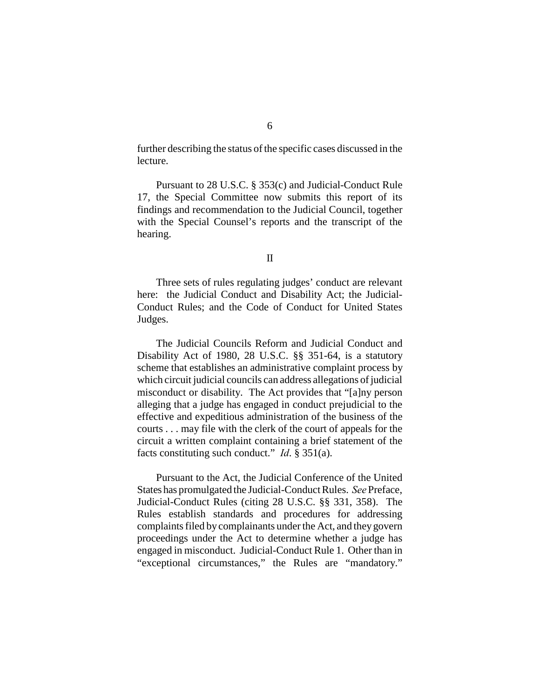further describing the status of the specific cases discussed in the lecture.

Pursuant to 28 U.S.C. § 353(c) and Judicial-Conduct Rule 17, the Special Committee now submits this report of its findings and recommendation to the Judicial Council, together with the Special Counsel's reports and the transcript of the hearing.

## II

Three sets of rules regulating judges' conduct are relevant here: the Judicial Conduct and Disability Act; the Judicial-Conduct Rules; and the Code of Conduct for United States Judges.

The Judicial Councils Reform and Judicial Conduct and Disability Act of 1980, 28 U.S.C. §§ 351-64, is a statutory scheme that establishes an administrative complaint process by which circuit judicial councils can address allegations of judicial misconduct or disability. The Act provides that "[a]ny person alleging that a judge has engaged in conduct prejudicial to the effective and expeditious administration of the business of the courts . . . may file with the clerk of the court of appeals for the circuit a written complaint containing a brief statement of the facts constituting such conduct." *Id*. § 351(a).

Pursuant to the Act, the Judicial Conference of the United States has promulgated the Judicial-Conduct Rules. *See* Preface, Judicial-Conduct Rules (citing 28 U.S.C. §§ 331, 358). The Rules establish standards and procedures for addressing complaints filed by complainants under the Act, and they govern proceedings under the Act to determine whether a judge has engaged in misconduct. Judicial-Conduct Rule 1. Other than in "exceptional circumstances," the Rules are "mandatory."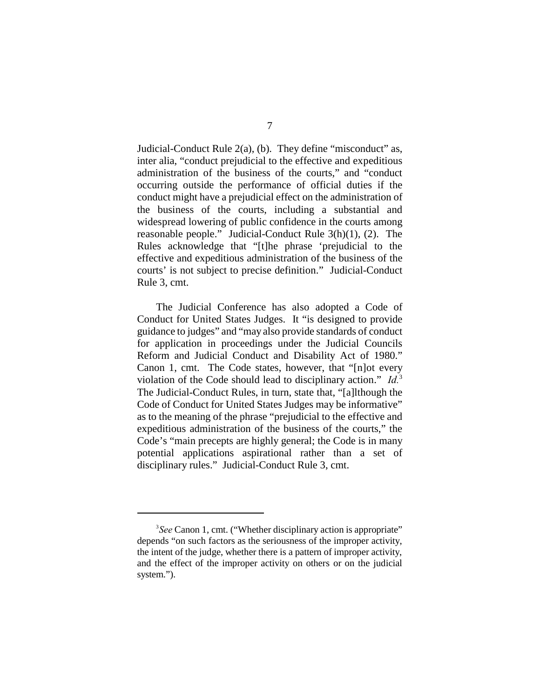Judicial-Conduct Rule 2(a), (b). They define "misconduct" as, inter alia, "conduct prejudicial to the effective and expeditious administration of the business of the courts," and "conduct occurring outside the performance of official duties if the conduct might have a prejudicial effect on the administration of the business of the courts, including a substantial and widespread lowering of public confidence in the courts among reasonable people." Judicial-Conduct Rule 3(h)(1), (2). The Rules acknowledge that "[t]he phrase 'prejudicial to the effective and expeditious administration of the business of the courts' is not subject to precise definition." Judicial-Conduct Rule 3, cmt.

The Judicial Conference has also adopted a Code of Conduct for United States Judges. It "is designed to provide guidance to judges" and "may also provide standards of conduct for application in proceedings under the Judicial Councils Reform and Judicial Conduct and Disability Act of 1980." Canon 1, cmt. The Code states, however, that "[n]ot every violation of the Code should lead to disciplinary action." *Id.*<sup>3</sup> The Judicial-Conduct Rules, in turn, state that, "[a]lthough the Code of Conduct for United States Judges may be informative" as to the meaning of the phrase "prejudicial to the effective and expeditious administration of the business of the courts," the Code's "main precepts are highly general; the Code is in many potential applications aspirational rather than a set of disciplinary rules." Judicial-Conduct Rule 3, cmt.

<sup>&</sup>lt;sup>3</sup>See Canon 1, cmt. ("Whether disciplinary action is appropriate" depends "on such factors as the seriousness of the improper activity, the intent of the judge, whether there is a pattern of improper activity, and the effect of the improper activity on others or on the judicial system.").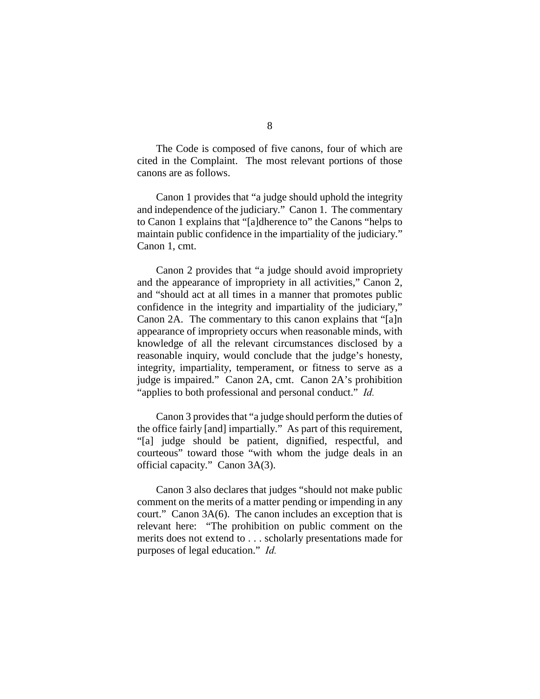The Code is composed of five canons, four of which are cited in the Complaint. The most relevant portions of those canons are as follows.

Canon 1 provides that "a judge should uphold the integrity and independence of the judiciary." Canon 1. The commentary to Canon 1 explains that "[a]dherence to" the Canons "helps to maintain public confidence in the impartiality of the judiciary." Canon 1, cmt.

Canon 2 provides that "a judge should avoid impropriety and the appearance of impropriety in all activities," Canon 2, and "should act at all times in a manner that promotes public confidence in the integrity and impartiality of the judiciary," Canon 2A. The commentary to this canon explains that "[a]n appearance of impropriety occurs when reasonable minds, with knowledge of all the relevant circumstances disclosed by a reasonable inquiry, would conclude that the judge's honesty, integrity, impartiality, temperament, or fitness to serve as a judge is impaired." Canon 2A, cmt. Canon 2A's prohibition "applies to both professional and personal conduct." *Id.*

Canon 3 provides that "a judge should perform the duties of the office fairly [and] impartially." As part of this requirement, "[a] judge should be patient, dignified, respectful, and courteous" toward those "with whom the judge deals in an official capacity." Canon 3A(3).

Canon 3 also declares that judges "should not make public comment on the merits of a matter pending or impending in any court." Canon 3A(6). The canon includes an exception that is relevant here: "The prohibition on public comment on the merits does not extend to . . . scholarly presentations made for purposes of legal education." *Id.*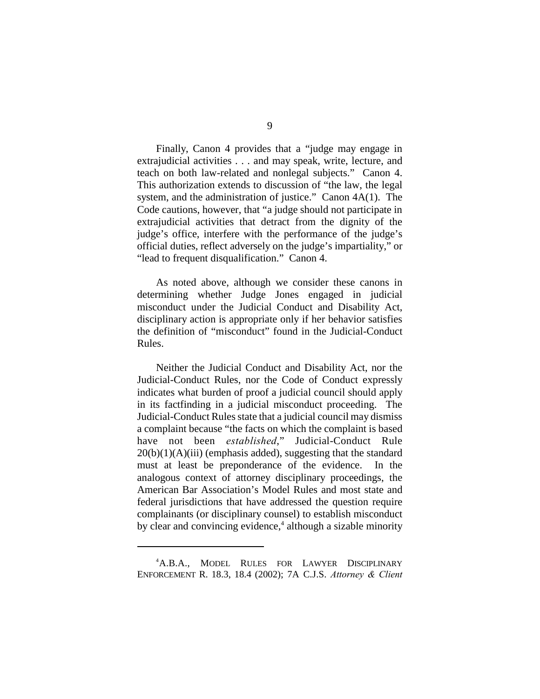Finally, Canon 4 provides that a "judge may engage in extrajudicial activities . . . and may speak, write, lecture, and teach on both law-related and nonlegal subjects." Canon 4. This authorization extends to discussion of "the law, the legal system, and the administration of justice." Canon 4A(1). The Code cautions, however, that "a judge should not participate in extrajudicial activities that detract from the dignity of the judge's office, interfere with the performance of the judge's official duties, reflect adversely on the judge's impartiality," or "lead to frequent disqualification." Canon 4.

As noted above, although we consider these canons in determining whether Judge Jones engaged in judicial misconduct under the Judicial Conduct and Disability Act, disciplinary action is appropriate only if her behavior satisfies the definition of "misconduct" found in the Judicial-Conduct Rules.

Neither the Judicial Conduct and Disability Act, nor the Judicial-Conduct Rules, nor the Code of Conduct expressly indicates what burden of proof a judicial council should apply in its factfinding in a judicial misconduct proceeding. The Judicial-Conduct Rules state that a judicial council may dismiss a complaint because "the facts on which the complaint is based have not been *established*," Judicial-Conduct Rule  $20(b)(1)(A)(iii)$  (emphasis added), suggesting that the standard must at least be preponderance of the evidence. In the analogous context of attorney disciplinary proceedings, the American Bar Association's Model Rules and most state and federal jurisdictions that have addressed the question require complainants (or disciplinary counsel) to establish misconduct by clear and convincing evidence, $4$  although a sizable minority

<sup>&</sup>lt;sup>4</sup>A.B.A., MODEL RULES FOR LAWYER DISCIPLINARY ENFORCEMENT R. 18.3, 18.4 (2002); 7A C.J.S. *Attorney & Client*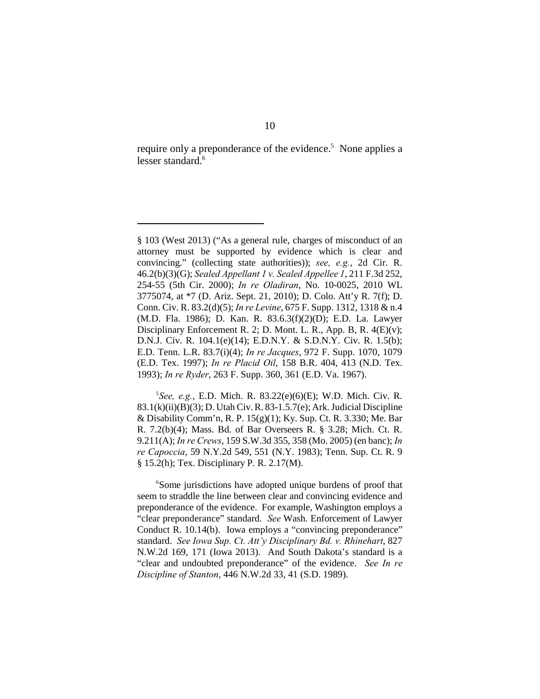require only a preponderance of the evidence.<sup>5</sup> None applies a lesser standard.<sup>6</sup>

 ${}^{5}$ See, e.g., E.D. Mich. R. 83.22(e)(6)(E); W.D. Mich. Civ. R. 83.1(k)(ii)(B)(3); D. Utah Civ. R. 83-1.5.7(e); Ark. Judicial Discipline & Disability Comm'n, R. P.  $15(g)(1)$ ; Ky. Sup. Ct. R. 3.330; Me. Bar R. 7.2(b)(4); Mass. Bd. of Bar Overseers R. § 3.28; Mich. Ct. R. 9.211(A); *In re Crews*, 159 S.W.3d 355, 358 (Mo. 2005) (en banc); *In re Capoccia*, 59 N.Y.2d 549, 551 (N.Y. 1983); Tenn. Sup. Ct. R. 9 § 15.2(h); Tex. Disciplinary P. R. 2.17(M).

<sup>6</sup>Some jurisdictions have adopted unique burdens of proof that seem to straddle the line between clear and convincing evidence and preponderance of the evidence. For example, Washington employs a "clear preponderance" standard. *See* Wash. Enforcement of Lawyer Conduct R. 10.14(b). Iowa employs a "convincing preponderance" standard. *See Iowa Sup. Ct. Att'y Disciplinary Bd. v. Rhinehart*, 827 N.W.2d 169, 171 (Iowa 2013). And South Dakota's standard is a "clear and undoubted preponderance" of the evidence. *See In re Discipline of Stanton*, 446 N.W.2d 33, 41 (S.D. 1989).

<sup>§ 103 (</sup>West 2013) ("As a general rule, charges of misconduct of an attorney must be supported by evidence which is clear and convincing." (collecting state authorities)); *see, e.g.*, 2d Cir. R. 46.2(b)(3)(G); *Sealed Appellant 1 v. Sealed Appellee 1*, 211 F.3d 252, 254-55 (5th Cir. 2000); *In re Oladiran*, No. 10-0025, 2010 WL 3775074, at \*7 (D. Ariz. Sept. 21, 2010); D. Colo. Att'y R. 7(f); D. Conn. Civ. R. 83.2(d)(5); *In re Levine*, 675 F. Supp. 1312, 1318 & n.4 (M.D. Fla. 1986); D. Kan. R. 83.6.3(f)(2)(D); E.D. La. Lawyer Disciplinary Enforcement R. 2; D. Mont. L. R., App. B, R. 4(E)(v); D.N.J. Civ. R. 104.1(e)(14); E.D.N.Y. & S.D.N.Y. Civ. R. 1.5(b); E.D. Tenn. L.R. 83.7(i)(4); *In re Jacques*, 972 F. Supp. 1070, 1079 (E.D. Tex. 1997); *In re Placid Oil*, 158 B.R. 404, 413 (N.D. Tex. 1993); *In re Ryder*, 263 F. Supp. 360, 361 (E.D. Va. 1967).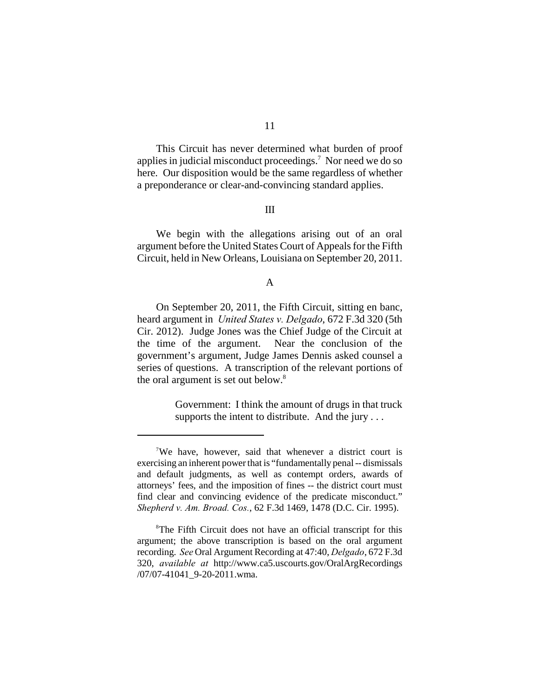This Circuit has never determined what burden of proof applies in judicial misconduct proceedings.<sup>7</sup> Nor need we do so here. Our disposition would be the same regardless of whether a preponderance or clear-and-convincing standard applies.

## III

We begin with the allegations arising out of an oral argument before the United States Court of Appeals for the Fifth Circuit, held in New Orleans, Louisiana on September 20, 2011.

## A

On September 20, 2011, the Fifth Circuit, sitting en banc, heard argument in *United States v. Delgado*, 672 F.3d 320 (5th Cir. 2012). Judge Jones was the Chief Judge of the Circuit at the time of the argument. Near the conclusion of the government's argument, Judge James Dennis asked counsel a series of questions. A transcription of the relevant portions of the oral argument is set out below.<sup>8</sup>

> Government: I think the amount of drugs in that truck supports the intent to distribute. And the jury . . .

<sup>&</sup>lt;sup>7</sup>We have, however, said that whenever a district court is exercising an inherent power that is "fundamentally penal -- dismissals and default judgments, as well as contempt orders, awards of attorneys' fees, and the imposition of fines -- the district court must find clear and convincing evidence of the predicate misconduct." *Shepherd v. Am. Broad. Cos.*, 62 F.3d 1469, 1478 (D.C. Cir. 1995).

<sup>&</sup>lt;sup>8</sup>The Fifth Circuit does not have an official transcript for this argument; the above transcription is based on the oral argument recording. *See* Oral Argument Recording at 47:40, *Delgado*, 672 F.3d 320, *available at* http://www.ca5.uscourts.gov/OralArgRecordings /07/07-41041\_9-20-2011.wma.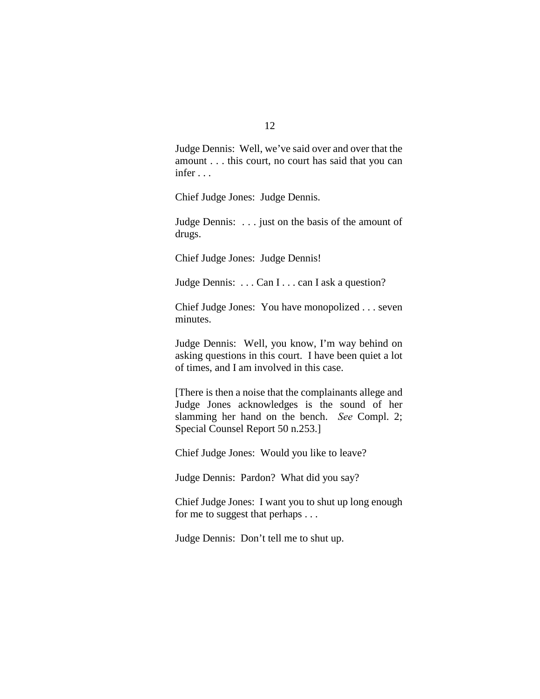Judge Dennis: Well, we've said over and over that the amount . . . this court, no court has said that you can infer . . .

Chief Judge Jones: Judge Dennis.

Judge Dennis: . . . just on the basis of the amount of drugs.

Chief Judge Jones: Judge Dennis!

Judge Dennis: . . . Can I . . . can I ask a question?

Chief Judge Jones: You have monopolized . . . seven minutes.

Judge Dennis: Well, you know, I'm way behind on asking questions in this court. I have been quiet a lot of times, and I am involved in this case.

[There is then a noise that the complainants allege and Judge Jones acknowledges is the sound of her slamming her hand on the bench. *See* Compl. 2; Special Counsel Report 50 n.253.]

Chief Judge Jones: Would you like to leave?

Judge Dennis: Pardon? What did you say?

Chief Judge Jones: I want you to shut up long enough for me to suggest that perhaps . . .

Judge Dennis: Don't tell me to shut up.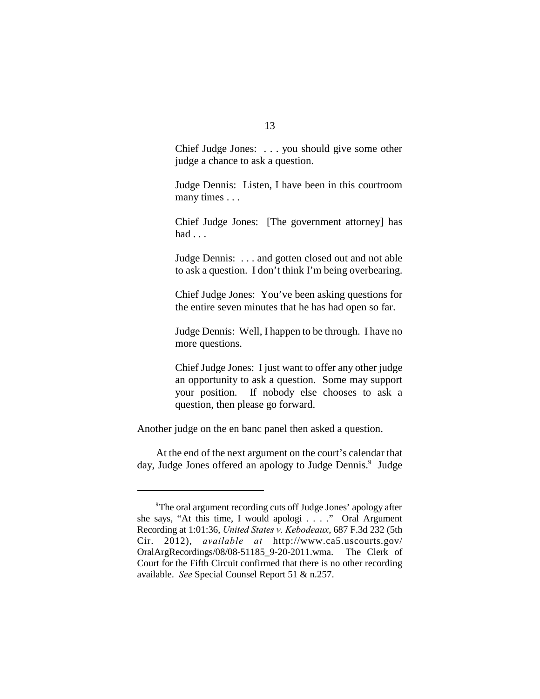Chief Judge Jones: . . . you should give some other judge a chance to ask a question.

Judge Dennis: Listen, I have been in this courtroom many times . . .

Chief Judge Jones: [The government attorney] has had . . .

Judge Dennis: . . . and gotten closed out and not able to ask a question. I don't think I'm being overbearing.

Chief Judge Jones: You've been asking questions for the entire seven minutes that he has had open so far.

Judge Dennis: Well, I happen to be through. I have no more questions.

Chief Judge Jones: I just want to offer any other judge an opportunity to ask a question. Some may support your position. If nobody else chooses to ask a question, then please go forward.

Another judge on the en banc panel then asked a question.

At the end of the next argument on the court's calendar that day, Judge Jones offered an apology to Judge Dennis.<sup>9</sup> Judge

The oral argument recording cuts off Judge Jones' apology after <sup>9</sup> she says, "At this time, I would apologi . . . ." Oral Argument Recording at 1:01:36, *United States v. Kebodeaux*, 687 F.3d 232 (5th Cir. 2012), *available at* http://www.ca5.uscourts.gov/ OralArgRecordings/08/08-51185\_9-20-2011.wma. The Clerk of Court for the Fifth Circuit confirmed that there is no other recording available. *See* Special Counsel Report 51 & n.257.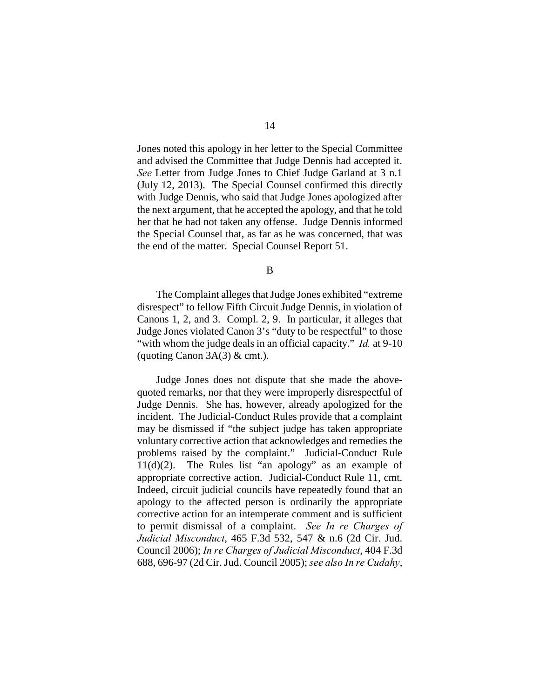Jones noted this apology in her letter to the Special Committee and advised the Committee that Judge Dennis had accepted it. *See* Letter from Judge Jones to Chief Judge Garland at 3 n.1 (July 12, 2013). The Special Counsel confirmed this directly with Judge Dennis, who said that Judge Jones apologized after the next argument, that he accepted the apology, and that he told her that he had not taken any offense. Judge Dennis informed the Special Counsel that, as far as he was concerned, that was the end of the matter. Special Counsel Report 51.

B

The Complaint alleges that Judge Jones exhibited "extreme disrespect" to fellow Fifth Circuit Judge Dennis, in violation of Canons 1, 2, and 3. Compl. 2, 9. In particular, it alleges that Judge Jones violated Canon 3's "duty to be respectful" to those "with whom the judge deals in an official capacity." *Id.* at 9-10 (quoting Canon  $3A(3)$  & cmt.).

Judge Jones does not dispute that she made the abovequoted remarks, nor that they were improperly disrespectful of Judge Dennis. She has, however, already apologized for the incident. The Judicial-Conduct Rules provide that a complaint may be dismissed if "the subject judge has taken appropriate voluntary corrective action that acknowledges and remedies the problems raised by the complaint." Judicial-Conduct Rule 11(d)(2). The Rules list "an apology" as an example of appropriate corrective action. Judicial-Conduct Rule 11, cmt. Indeed, circuit judicial councils have repeatedly found that an apology to the affected person is ordinarily the appropriate corrective action for an intemperate comment and is sufficient to permit dismissal of a complaint. *See In re Charges of Judicial Misconduct*, 465 F.3d 532, 547 & n.6 (2d Cir. Jud. Council 2006); *In re Charges of Judicial Misconduct*, 404 F.3d 688, 696-97 (2d Cir. Jud. Council 2005); *see also In re Cudahy*,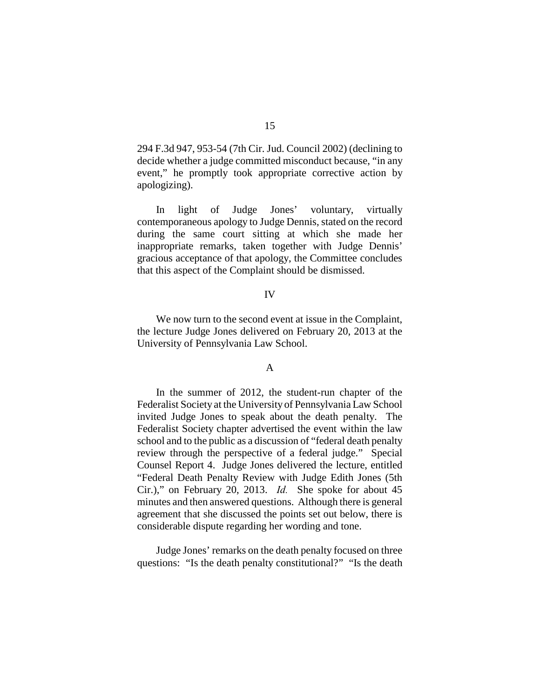294 F.3d 947, 953-54 (7th Cir. Jud. Council 2002) (declining to decide whether a judge committed misconduct because, "in any event," he promptly took appropriate corrective action by apologizing).

In light of Judge Jones' voluntary, virtually contemporaneous apology to Judge Dennis, stated on the record during the same court sitting at which she made her inappropriate remarks, taken together with Judge Dennis' gracious acceptance of that apology, the Committee concludes that this aspect of the Complaint should be dismissed.

#### IV

We now turn to the second event at issue in the Complaint, the lecture Judge Jones delivered on February 20, 2013 at the University of Pennsylvania Law School.

#### A

In the summer of 2012, the student-run chapter of the Federalist Society at the University of Pennsylvania Law School invited Judge Jones to speak about the death penalty. The Federalist Society chapter advertised the event within the law school and to the public as a discussion of "federal death penalty review through the perspective of a federal judge." Special Counsel Report 4. Judge Jones delivered the lecture, entitled "Federal Death Penalty Review with Judge Edith Jones (5th Cir.)," on February 20, 2013. *Id.* She spoke for about 45 minutes and then answered questions. Although there is general agreement that she discussed the points set out below, there is considerable dispute regarding her wording and tone.

Judge Jones' remarks on the death penalty focused on three questions: "Is the death penalty constitutional?" "Is the death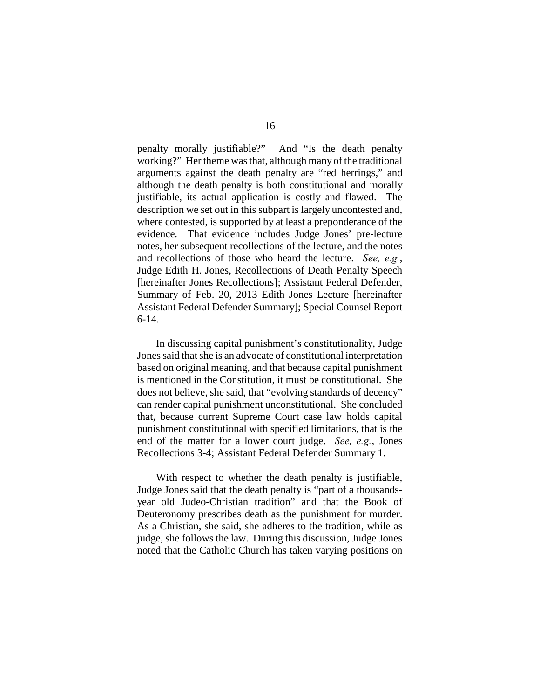penalty morally justifiable?" And "Is the death penalty working?" Her theme was that, although many of the traditional arguments against the death penalty are "red herrings," and although the death penalty is both constitutional and morally justifiable, its actual application is costly and flawed. The description we set out in this subpart is largely uncontested and, where contested, is supported by at least a preponderance of the evidence. That evidence includes Judge Jones' pre-lecture notes, her subsequent recollections of the lecture, and the notes and recollections of those who heard the lecture. *See, e.g.*, Judge Edith H. Jones, Recollections of Death Penalty Speech [hereinafter Jones Recollections]; Assistant Federal Defender, Summary of Feb. 20, 2013 Edith Jones Lecture [hereinafter Assistant Federal Defender Summary]; Special Counsel Report 6-14.

In discussing capital punishment's constitutionality, Judge Jones said that she is an advocate of constitutional interpretation based on original meaning, and that because capital punishment is mentioned in the Constitution, it must be constitutional. She does not believe, she said, that "evolving standards of decency" can render capital punishment unconstitutional. She concluded that, because current Supreme Court case law holds capital punishment constitutional with specified limitations, that is the end of the matter for a lower court judge. *See, e.g.*, Jones Recollections 3-4; Assistant Federal Defender Summary 1.

With respect to whether the death penalty is justifiable, Judge Jones said that the death penalty is "part of a thousandsyear old Judeo-Christian tradition" and that the Book of Deuteronomy prescribes death as the punishment for murder. As a Christian, she said, she adheres to the tradition, while as judge, she follows the law. During this discussion, Judge Jones noted that the Catholic Church has taken varying positions on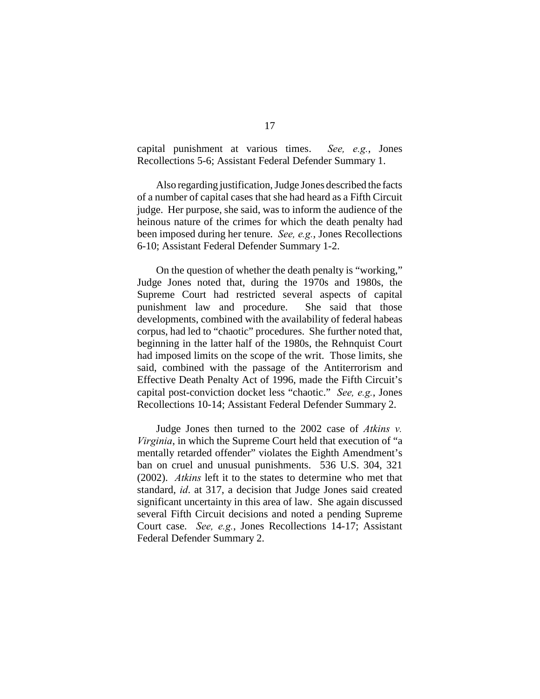capital punishment at various times. *See, e.g.*, Jones Recollections 5-6; Assistant Federal Defender Summary 1.

Also regarding justification, Judge Jones described the facts of a number of capital cases that she had heard as a Fifth Circuit judge. Her purpose, she said, was to inform the audience of the heinous nature of the crimes for which the death penalty had been imposed during her tenure. *See, e.g.*, Jones Recollections 6-10; Assistant Federal Defender Summary 1-2.

On the question of whether the death penalty is "working," Judge Jones noted that, during the 1970s and 1980s, the Supreme Court had restricted several aspects of capital punishment law and procedure. She said that those developments, combined with the availability of federal habeas corpus, had led to "chaotic" procedures. She further noted that, beginning in the latter half of the 1980s, the Rehnquist Court had imposed limits on the scope of the writ. Those limits, she said, combined with the passage of the Antiterrorism and Effective Death Penalty Act of 1996, made the Fifth Circuit's capital post-conviction docket less "chaotic." *See, e.g.*, Jones Recollections 10-14; Assistant Federal Defender Summary 2.

Judge Jones then turned to the 2002 case of *Atkins v. Virginia*, in which the Supreme Court held that execution of "a mentally retarded offender" violates the Eighth Amendment's ban on cruel and unusual punishments. 536 U.S. 304, 321 (2002). *Atkins* left it to the states to determine who met that standard, *id*. at 317, a decision that Judge Jones said created significant uncertainty in this area of law. She again discussed several Fifth Circuit decisions and noted a pending Supreme Court case. *See, e.g.*, Jones Recollections 14-17; Assistant Federal Defender Summary 2.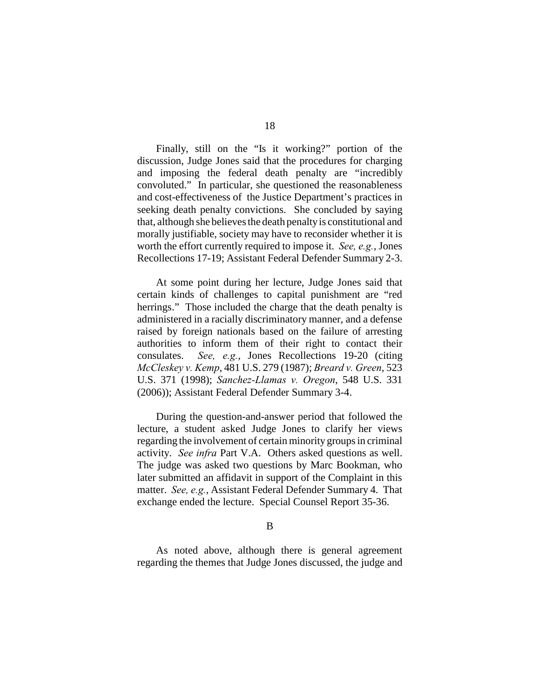Finally, still on the "Is it working?" portion of the discussion, Judge Jones said that the procedures for charging and imposing the federal death penalty are "incredibly convoluted." In particular, she questioned the reasonableness and cost-effectiveness of the Justice Department's practices in seeking death penalty convictions. She concluded by saying that, although she believes the death penalty is constitutional and morally justifiable, society may have to reconsider whether it is worth the effort currently required to impose it. *See, e.g.*, Jones Recollections 17-19; Assistant Federal Defender Summary 2-3.

At some point during her lecture, Judge Jones said that certain kinds of challenges to capital punishment are "red herrings." Those included the charge that the death penalty is administered in a racially discriminatory manner, and a defense raised by foreign nationals based on the failure of arresting authorities to inform them of their right to contact their consulates. *See, e.g.*, Jones Recollections 19-20 (citing *McCleskey v. Kemp*, 481 U.S. 279 (1987); *Breard v. Green*, 523 U.S. 371 (1998); *Sanchez-Llamas v. Oregon*, 548 U.S. 331 (2006)); Assistant Federal Defender Summary 3-4.

During the question-and-answer period that followed the lecture, a student asked Judge Jones to clarify her views regarding the involvement of certain minority groups in criminal activity. *See infra* Part V.A. Others asked questions as well. The judge was asked two questions by Marc Bookman, who later submitted an affidavit in support of the Complaint in this matter. *See, e.g.*, Assistant Federal Defender Summary 4. That exchange ended the lecture. Special Counsel Report 35-36.

B

As noted above, although there is general agreement regarding the themes that Judge Jones discussed, the judge and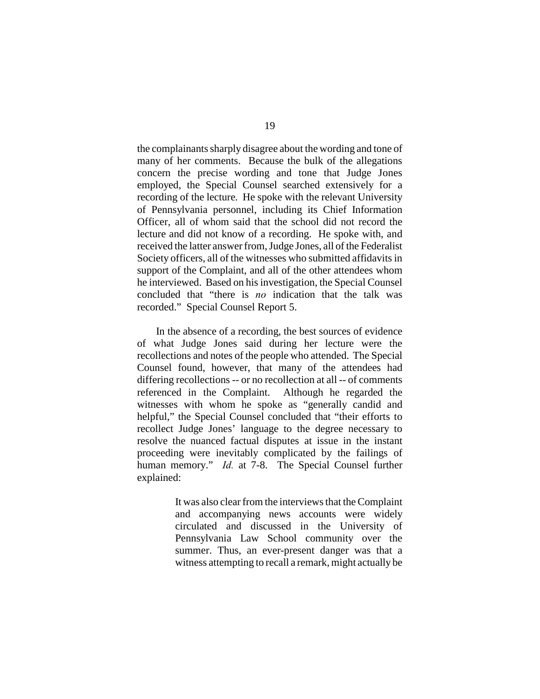the complainants sharply disagree about the wording and tone of many of her comments. Because the bulk of the allegations concern the precise wording and tone that Judge Jones employed, the Special Counsel searched extensively for a recording of the lecture. He spoke with the relevant University of Pennsylvania personnel, including its Chief Information Officer, all of whom said that the school did not record the lecture and did not know of a recording. He spoke with, and received the latter answer from, Judge Jones, all of the Federalist Society officers, all of the witnesses who submitted affidavits in support of the Complaint, and all of the other attendees whom he interviewed. Based on his investigation, the Special Counsel concluded that "there is *no* indication that the talk was recorded." Special Counsel Report 5.

In the absence of a recording, the best sources of evidence of what Judge Jones said during her lecture were the recollections and notes of the people who attended. The Special Counsel found, however, that many of the attendees had differing recollections -- or no recollection at all -- of comments referenced in the Complaint. Although he regarded the witnesses with whom he spoke as "generally candid and helpful," the Special Counsel concluded that "their efforts to recollect Judge Jones' language to the degree necessary to resolve the nuanced factual disputes at issue in the instant proceeding were inevitably complicated by the failings of human memory." *Id.* at 7-8. The Special Counsel further explained:

> It was also clear from the interviews that the Complaint and accompanying news accounts were widely circulated and discussed in the University of Pennsylvania Law School community over the summer. Thus, an ever-present danger was that a witness attempting to recall a remark, might actually be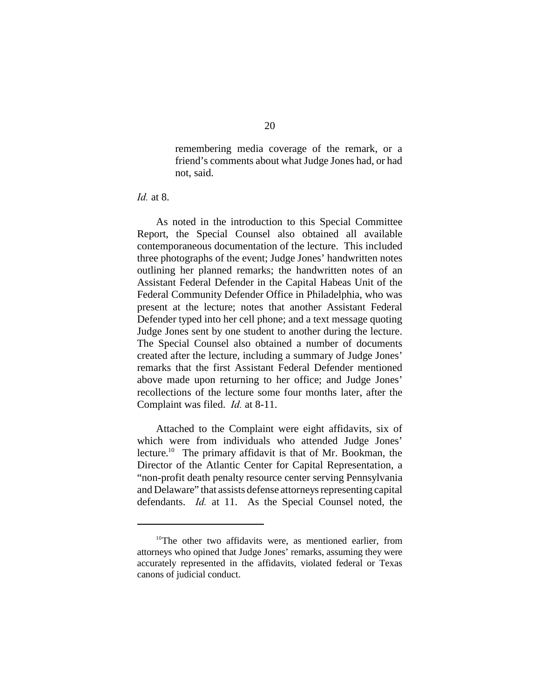remembering media coverage of the remark, or a friend's comments about what Judge Jones had, or had not, said.

*Id.* at 8.

As noted in the introduction to this Special Committee Report, the Special Counsel also obtained all available contemporaneous documentation of the lecture. This included three photographs of the event; Judge Jones' handwritten notes outlining her planned remarks; the handwritten notes of an Assistant Federal Defender in the Capital Habeas Unit of the Federal Community Defender Office in Philadelphia, who was present at the lecture; notes that another Assistant Federal Defender typed into her cell phone; and a text message quoting Judge Jones sent by one student to another during the lecture. The Special Counsel also obtained a number of documents created after the lecture, including a summary of Judge Jones' remarks that the first Assistant Federal Defender mentioned above made upon returning to her office; and Judge Jones' recollections of the lecture some four months later, after the Complaint was filed. *Id.* at 8-11.

Attached to the Complaint were eight affidavits, six of which were from individuals who attended Judge Jones' lecture.<sup>10</sup> The primary affidavit is that of Mr. Bookman, the Director of the Atlantic Center for Capital Representation, a "non-profit death penalty resource center serving Pennsylvania and Delaware" that assists defense attorneys representing capital defendants. *Id.* at 11. As the Special Counsel noted, the

 $10$ <sup>The</sup> other two affidavits were, as mentioned earlier, from attorneys who opined that Judge Jones' remarks, assuming they were accurately represented in the affidavits, violated federal or Texas canons of judicial conduct.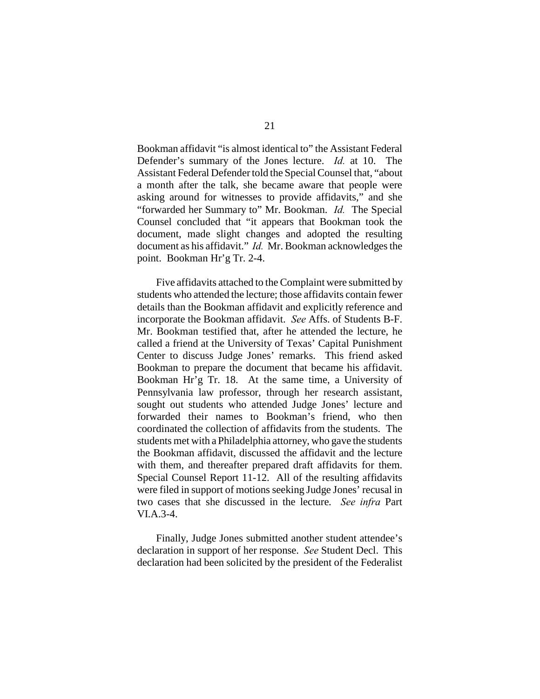Bookman affidavit "is almost identical to" the Assistant Federal Defender's summary of the Jones lecture. *Id.* at 10. The Assistant Federal Defender told the Special Counsel that, "about a month after the talk, she became aware that people were asking around for witnesses to provide affidavits," and she "forwarded her Summary to" Mr. Bookman. *Id.* The Special Counsel concluded that "it appears that Bookman took the document, made slight changes and adopted the resulting document as his affidavit." *Id.* Mr. Bookman acknowledges the point. Bookman Hr'g Tr. 2-4.

Five affidavits attached to the Complaint were submitted by students who attended the lecture; those affidavits contain fewer details than the Bookman affidavit and explicitly reference and incorporate the Bookman affidavit. *See* Affs. of Students B-F. Mr. Bookman testified that, after he attended the lecture, he called a friend at the University of Texas' Capital Punishment Center to discuss Judge Jones' remarks. This friend asked Bookman to prepare the document that became his affidavit. Bookman Hr'g Tr. 18. At the same time, a University of Pennsylvania law professor, through her research assistant, sought out students who attended Judge Jones' lecture and forwarded their names to Bookman's friend, who then coordinated the collection of affidavits from the students. The students met with a Philadelphia attorney, who gave the students the Bookman affidavit, discussed the affidavit and the lecture with them, and thereafter prepared draft affidavits for them. Special Counsel Report 11-12. All of the resulting affidavits were filed in support of motions seeking Judge Jones' recusal in two cases that she discussed in the lecture. *See infra* Part VI.A.3-4.

Finally, Judge Jones submitted another student attendee's declaration in support of her response. *See* Student Decl. This declaration had been solicited by the president of the Federalist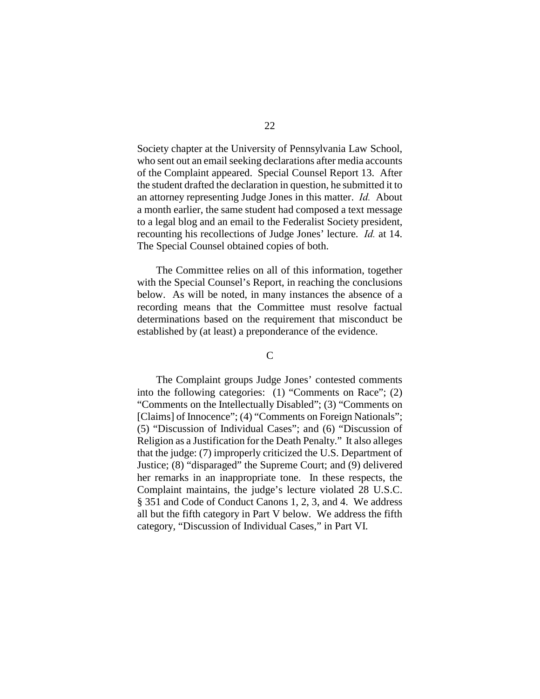Society chapter at the University of Pennsylvania Law School, who sent out an email seeking declarations after media accounts of the Complaint appeared. Special Counsel Report 13. After the student drafted the declaration in question, he submitted it to an attorney representing Judge Jones in this matter. *Id.* About a month earlier, the same student had composed a text message to a legal blog and an email to the Federalist Society president, recounting his recollections of Judge Jones' lecture. *Id.* at 14. The Special Counsel obtained copies of both.

The Committee relies on all of this information, together with the Special Counsel's Report, in reaching the conclusions below. As will be noted, in many instances the absence of a recording means that the Committee must resolve factual determinations based on the requirement that misconduct be established by (at least) a preponderance of the evidence.

## $\overline{C}$

The Complaint groups Judge Jones' contested comments into the following categories: (1) "Comments on Race"; (2) "Comments on the Intellectually Disabled"; (3) "Comments on [Claims] of Innocence"; (4) "Comments on Foreign Nationals"; (5) "Discussion of Individual Cases"; and (6) "Discussion of Religion as a Justification for the Death Penalty." It also alleges that the judge: (7) improperly criticized the U.S. Department of Justice; (8) "disparaged" the Supreme Court; and (9) delivered her remarks in an inappropriate tone. In these respects, the Complaint maintains, the judge's lecture violated 28 U.S.C. § 351 and Code of Conduct Canons 1, 2, 3, and 4. We address all but the fifth category in Part V below. We address the fifth category, "Discussion of Individual Cases," in Part VI.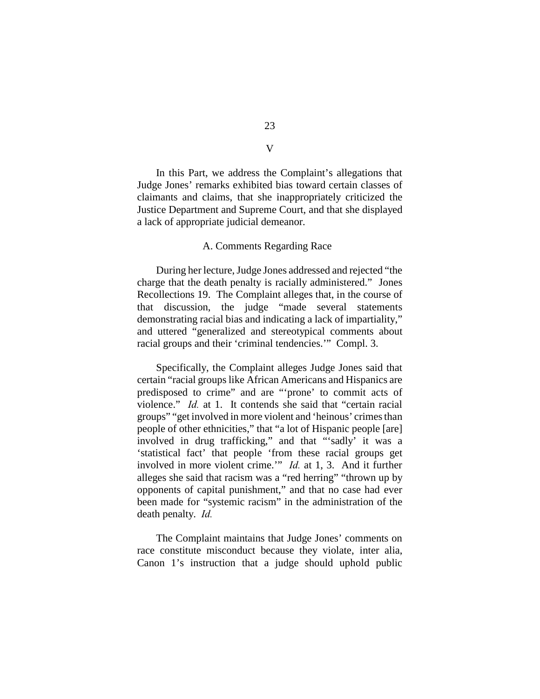In this Part, we address the Complaint's allegations that Judge Jones' remarks exhibited bias toward certain classes of claimants and claims, that she inappropriately criticized the Justice Department and Supreme Court, and that she displayed a lack of appropriate judicial demeanor.

#### A. Comments Regarding Race

During her lecture, Judge Jones addressed and rejected "the charge that the death penalty is racially administered." Jones Recollections 19. The Complaint alleges that, in the course of that discussion, the judge "made several statements demonstrating racial bias and indicating a lack of impartiality," and uttered "generalized and stereotypical comments about racial groups and their 'criminal tendencies.'" Compl. 3.

Specifically, the Complaint alleges Judge Jones said that certain "racial groups like African Americans and Hispanics are predisposed to crime" and are "'prone' to commit acts of violence." *Id.* at 1. It contends she said that "certain racial" groups" "get involved in more violent and 'heinous' crimes than people of other ethnicities," that "a lot of Hispanic people [are] involved in drug trafficking," and that "'sadly' it was a 'statistical fact' that people 'from these racial groups get involved in more violent crime.'" *Id.* at 1, 3. And it further alleges she said that racism was a "red herring" "thrown up by opponents of capital punishment," and that no case had ever been made for "systemic racism" in the administration of the death penalty. *Id.*

The Complaint maintains that Judge Jones' comments on race constitute misconduct because they violate, inter alia, Canon 1's instruction that a judge should uphold public

V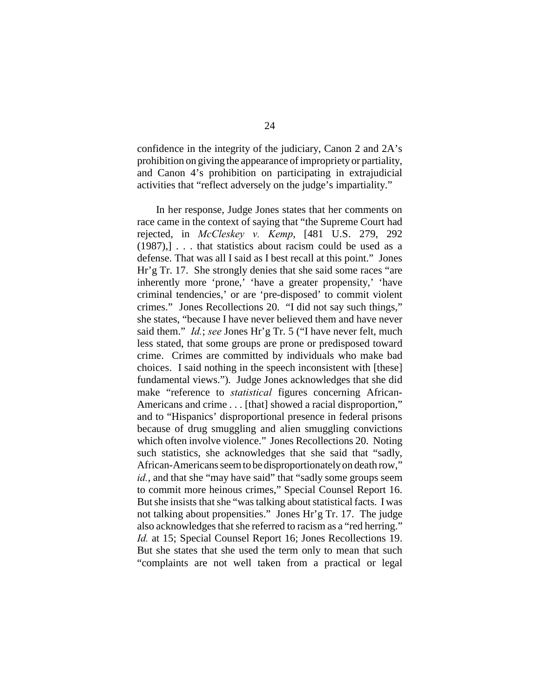confidence in the integrity of the judiciary, Canon 2 and 2A's prohibition on giving the appearance of impropriety or partiality, and Canon 4's prohibition on participating in extrajudicial activities that "reflect adversely on the judge's impartiality."

In her response, Judge Jones states that her comments on race came in the context of saying that "the Supreme Court had rejected, in *McCleskey v. Kemp*, [481 U.S. 279, 292  $(1987)$ ,  $\ldots$  that statistics about racism could be used as a defense. That was all I said as I best recall at this point." Jones Hr'g Tr. 17. She strongly denies that she said some races "are inherently more 'prone,' 'have a greater propensity,' 'have criminal tendencies,' or are 'pre-disposed' to commit violent crimes." Jones Recollections 20. "I did not say such things," she states, "because I have never believed them and have never said them." *Id.*; *see* Jones Hr'g Tr. 5 ("I have never felt, much less stated, that some groups are prone or predisposed toward crime. Crimes are committed by individuals who make bad choices. I said nothing in the speech inconsistent with [these] fundamental views."). Judge Jones acknowledges that she did make "reference to *statistical* figures concerning African-Americans and crime . . . [that] showed a racial disproportion," and to "Hispanics' disproportional presence in federal prisons because of drug smuggling and alien smuggling convictions which often involve violence." Jones Recollections 20. Noting such statistics, she acknowledges that she said that "sadly, African-Americans seem to be disproportionately on death row," *id.*, and that she "may have said" that "sadly some groups seem to commit more heinous crimes," Special Counsel Report 16. But she insists that she "was talking about statistical facts. I was not talking about propensities." Jones Hr'g Tr. 17. The judge also acknowledges that she referred to racism as a "red herring." *Id.* at 15; Special Counsel Report 16; Jones Recollections 19. But she states that she used the term only to mean that such "complaints are not well taken from a practical or legal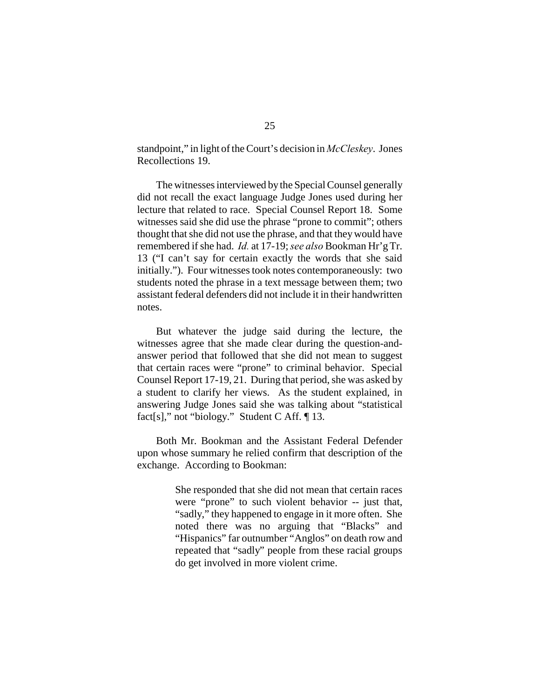standpoint," in light of the Court's decision in *McCleskey*. Jones Recollections 19.

The witnesses interviewed by the Special Counsel generally did not recall the exact language Judge Jones used during her lecture that related to race. Special Counsel Report 18. Some witnesses said she did use the phrase "prone to commit"; others thought that she did not use the phrase, and that they would have remembered if she had. *Id.* at 17-19; *see also* Bookman Hr'g Tr. 13 ("I can't say for certain exactly the words that she said initially."). Four witnesses took notes contemporaneously: two students noted the phrase in a text message between them; two assistant federal defenders did not include it in their handwritten notes.

But whatever the judge said during the lecture, the witnesses agree that she made clear during the question-andanswer period that followed that she did not mean to suggest that certain races were "prone" to criminal behavior. Special Counsel Report 17-19, 21. During that period, she was asked by a student to clarify her views. As the student explained, in answering Judge Jones said she was talking about "statistical fact[s]," not "biology." Student C Aff. ¶ 13.

Both Mr. Bookman and the Assistant Federal Defender upon whose summary he relied confirm that description of the exchange. According to Bookman:

> She responded that she did not mean that certain races were "prone" to such violent behavior -- just that, "sadly," they happened to engage in it more often. She noted there was no arguing that "Blacks" and "Hispanics" far outnumber "Anglos" on death row and repeated that "sadly" people from these racial groups do get involved in more violent crime.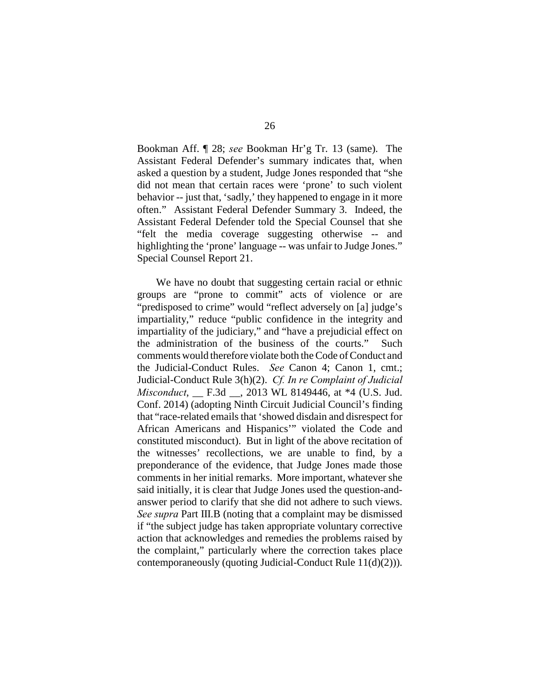Bookman Aff. ¶ 28; *see* Bookman Hr'g Tr. 13 (same). The Assistant Federal Defender's summary indicates that, when asked a question by a student, Judge Jones responded that "she did not mean that certain races were 'prone' to such violent behavior -- just that, 'sadly,' they happened to engage in it more often." Assistant Federal Defender Summary 3. Indeed, the Assistant Federal Defender told the Special Counsel that she "felt the media coverage suggesting otherwise -- and highlighting the 'prone' language -- was unfair to Judge Jones." Special Counsel Report 21.

We have no doubt that suggesting certain racial or ethnic groups are "prone to commit" acts of violence or are "predisposed to crime" would "reflect adversely on [a] judge's impartiality," reduce "public confidence in the integrity and impartiality of the judiciary," and "have a prejudicial effect on the administration of the business of the courts." Such comments would therefore violate both the Code of Conduct and the Judicial-Conduct Rules. *See* Canon 4; Canon 1, cmt.; Judicial-Conduct Rule 3(h)(2). *Cf. In re Complaint of Judicial Misconduct*, \_\_ F.3d \_\_, 2013 WL 8149446, at \*4 (U.S. Jud. Conf. 2014) (adopting Ninth Circuit Judicial Council's finding that "race-related emails that 'showed disdain and disrespect for African Americans and Hispanics'" violated the Code and constituted misconduct). But in light of the above recitation of the witnesses' recollections, we are unable to find, by a preponderance of the evidence, that Judge Jones made those comments in her initial remarks. More important, whatever she said initially, it is clear that Judge Jones used the question-andanswer period to clarify that she did not adhere to such views. *See supra* Part III.B (noting that a complaint may be dismissed if "the subject judge has taken appropriate voluntary corrective action that acknowledges and remedies the problems raised by the complaint," particularly where the correction takes place contemporaneously (quoting Judicial-Conduct Rule 11(d)(2))).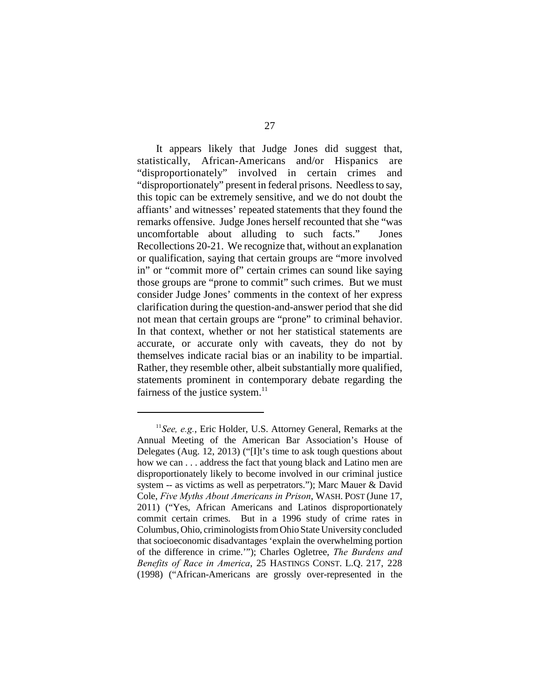It appears likely that Judge Jones did suggest that, statistically, African-Americans and/or Hispanics are "disproportionately" involved in certain crimes and "disproportionately" present in federal prisons. Needless to say, this topic can be extremely sensitive, and we do not doubt the affiants' and witnesses' repeated statements that they found the remarks offensive. Judge Jones herself recounted that she "was uncomfortable about alluding to such facts." Jones Recollections 20-21. We recognize that, without an explanation or qualification, saying that certain groups are "more involved in" or "commit more of" certain crimes can sound like saying those groups are "prone to commit" such crimes. But we must consider Judge Jones' comments in the context of her express clarification during the question-and-answer period that she did not mean that certain groups are "prone" to criminal behavior. In that context, whether or not her statistical statements are accurate, or accurate only with caveats, they do not by themselves indicate racial bias or an inability to be impartial. Rather, they resemble other, albeit substantially more qualified, statements prominent in contemporary debate regarding the fairness of the justice system. $^{11}$ 

 $<sup>11</sup>$  See, e.g., Eric Holder, U.S. Attorney General, Remarks at the</sup> Annual Meeting of the American Bar Association's House of Delegates (Aug. 12, 2013) ("[I]t's time to ask tough questions about how we can . . . address the fact that young black and Latino men are disproportionately likely to become involved in our criminal justice system -- as victims as well as perpetrators."); Marc Mauer & David Cole, *Five Myths About Americans in Prison*, WASH. POST (June 17, 2011) ("Yes, African Americans and Latinos disproportionately commit certain crimes. But in a 1996 study of crime rates in Columbus, Ohio, criminologists from Ohio State University concluded that socioeconomic disadvantages 'explain the overwhelming portion of the difference in crime.'"); Charles Ogletree, *The Burdens and Benefits of Race in America*, 25 HASTINGS CONST. L.Q. 217, 228 (1998) ("African-Americans are grossly over-represented in the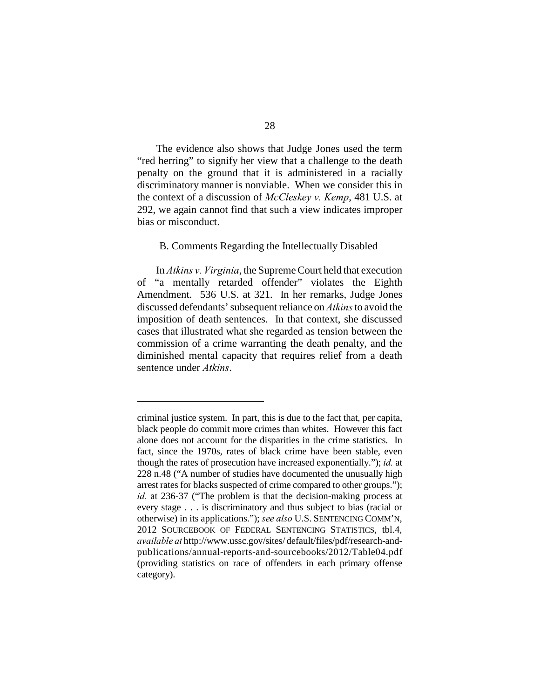The evidence also shows that Judge Jones used the term "red herring" to signify her view that a challenge to the death penalty on the ground that it is administered in a racially discriminatory manner is nonviable. When we consider this in the context of a discussion of *McCleskey v. Kemp*, 481 U.S. at 292, we again cannot find that such a view indicates improper bias or misconduct.

#### B. Comments Regarding the Intellectually Disabled

In *Atkins v. Virginia*, the Supreme Court held that execution of "a mentally retarded offender" violates the Eighth Amendment. 536 U.S. at 321. In her remarks, Judge Jones discussed defendants' subsequent reliance on *Atkins* to avoid the imposition of death sentences. In that context, she discussed cases that illustrated what she regarded as tension between the commission of a crime warranting the death penalty, and the diminished mental capacity that requires relief from a death sentence under *Atkins*.

criminal justice system. In part, this is due to the fact that, per capita, black people do commit more crimes than whites. However this fact alone does not account for the disparities in the crime statistics. In fact, since the 1970s, rates of black crime have been stable, even though the rates of prosecution have increased exponentially."); *id.* at 228 n.48 ("A number of studies have documented the unusually high arrest rates for blacks suspected of crime compared to other groups."); *id.* at 236-37 ("The problem is that the decision-making process at every stage . . . is discriminatory and thus subject to bias (racial or otherwise) in its applications."); *see also* U.S. SENTENCING COMM'N, 2012 SOURCEBOOK OF FEDERAL SENTENCING STATISTICS, tbl.4, *available at* http://www.ussc.gov/sites/ default/files/pdf/research-andpublications/annual-reports-and-sourcebooks/2012/Table04.pdf (providing statistics on race of offenders in each primary offense category).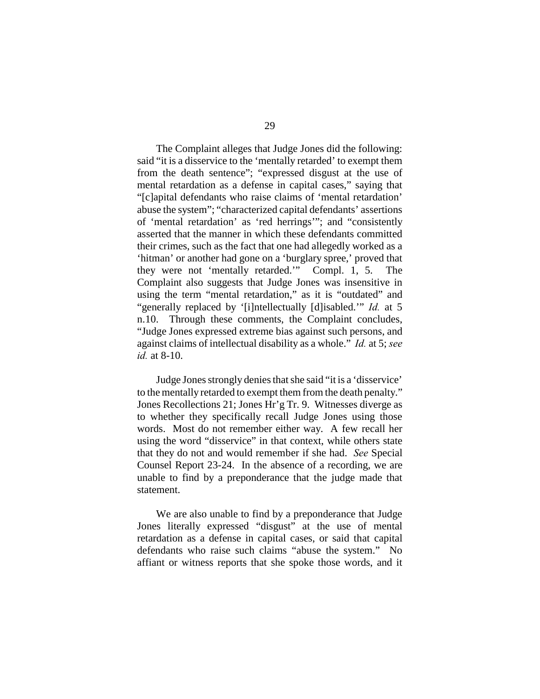The Complaint alleges that Judge Jones did the following: said "it is a disservice to the 'mentally retarded' to exempt them from the death sentence"; "expressed disgust at the use of mental retardation as a defense in capital cases," saying that "[c]apital defendants who raise claims of 'mental retardation' abuse the system"; "characterized capital defendants' assertions of 'mental retardation' as 'red herrings'"; and "consistently asserted that the manner in which these defendants committed their crimes, such as the fact that one had allegedly worked as a 'hitman' or another had gone on a 'burglary spree,' proved that they were not 'mentally retarded.'" Compl. 1, 5. The Complaint also suggests that Judge Jones was insensitive in using the term "mental retardation," as it is "outdated" and "generally replaced by '[i]ntellectually [d]isabled.'" *Id.* at 5 n.10. Through these comments, the Complaint concludes, "Judge Jones expressed extreme bias against such persons, and against claims of intellectual disability as a whole." *Id.* at 5; *see id.* at 8-10.

Judge Jones strongly denies that she said "it is a 'disservice' to the mentally retarded to exempt them from the death penalty." Jones Recollections 21; Jones Hr'g Tr. 9. Witnesses diverge as to whether they specifically recall Judge Jones using those words. Most do not remember either way. A few recall her using the word "disservice" in that context, while others state that they do not and would remember if she had. *See* Special Counsel Report 23-24. In the absence of a recording, we are unable to find by a preponderance that the judge made that statement.

We are also unable to find by a preponderance that Judge Jones literally expressed "disgust" at the use of mental retardation as a defense in capital cases, or said that capital defendants who raise such claims "abuse the system." No affiant or witness reports that she spoke those words, and it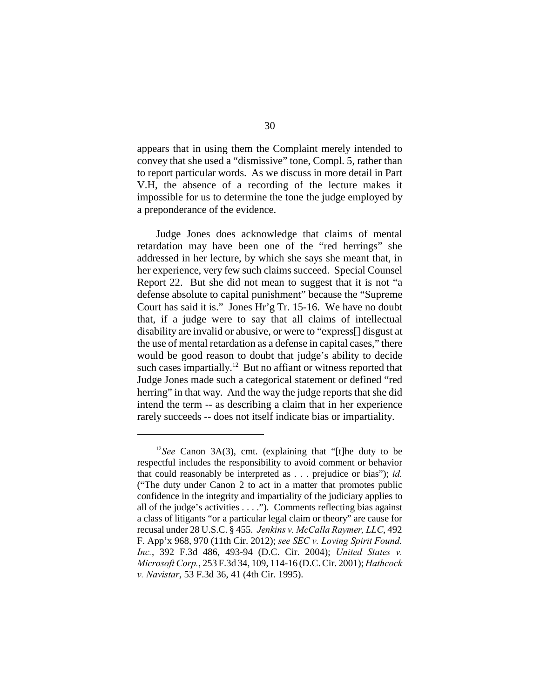appears that in using them the Complaint merely intended to convey that she used a "dismissive" tone, Compl. 5, rather than to report particular words. As we discuss in more detail in Part V.H, the absence of a recording of the lecture makes it impossible for us to determine the tone the judge employed by a preponderance of the evidence.

Judge Jones does acknowledge that claims of mental retardation may have been one of the "red herrings" she addressed in her lecture, by which she says she meant that, in her experience, very few such claims succeed. Special Counsel Report 22. But she did not mean to suggest that it is not "a defense absolute to capital punishment" because the "Supreme Court has said it is." Jones Hr'g Tr. 15-16. We have no doubt that, if a judge were to say that all claims of intellectual disability are invalid or abusive, or were to "express[] disgust at the use of mental retardation as a defense in capital cases," there would be good reason to doubt that judge's ability to decide such cases impartially.<sup>12</sup> But no affiant or witness reported that Judge Jones made such a categorical statement or defined "red herring" in that way. And the way the judge reports that she did intend the term -- as describing a claim that in her experience rarely succeeds -- does not itself indicate bias or impartiality.

<sup>&</sup>lt;sup>12</sup>See Canon 3A(3), cmt. (explaining that "[t]he duty to be respectful includes the responsibility to avoid comment or behavior that could reasonably be interpreted as . . . prejudice or bias"); *id.* ("The duty under Canon 2 to act in a matter that promotes public confidence in the integrity and impartiality of the judiciary applies to all of the judge's activities . . . ."). Comments reflecting bias against a class of litigants "or a particular legal claim or theory" are cause for recusal under 28 U.S.C. § 455. *Jenkins v. McCalla Raymer, LLC*, 492 F. App'x 968, 970 (11th Cir. 2012); *see SEC v. Loving Spirit Found. Inc.*, 392 F.3d 486, 493-94 (D.C. Cir. 2004); *United States v. Microsoft Corp.*, 253 F.3d 34, 109, 114-16 (D.C. Cir. 2001); *Hathcock v. Navistar*, 53 F.3d 36, 41 (4th Cir. 1995).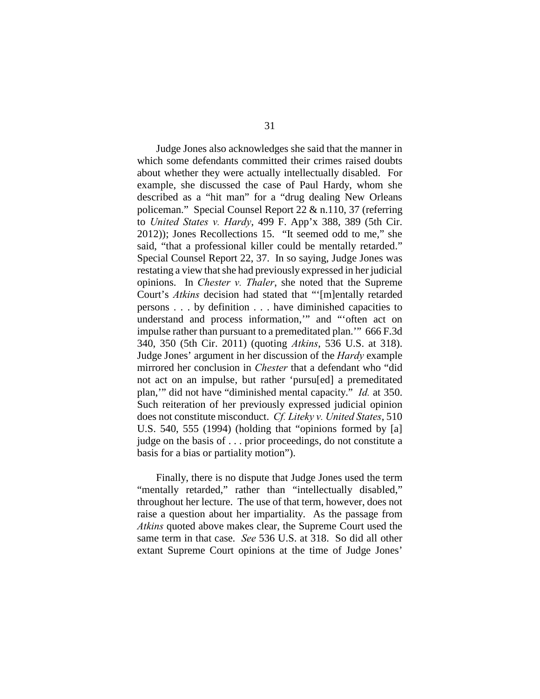Judge Jones also acknowledges she said that the manner in which some defendants committed their crimes raised doubts about whether they were actually intellectually disabled. For example, she discussed the case of Paul Hardy, whom she described as a "hit man" for a "drug dealing New Orleans policeman." Special Counsel Report 22 & n.110, 37 (referring to *United States v. Hardy*, 499 F. App'x 388, 389 (5th Cir. 2012)); Jones Recollections 15. "It seemed odd to me," she said, "that a professional killer could be mentally retarded." Special Counsel Report 22, 37. In so saying, Judge Jones was restating a view that she had previously expressed in her judicial opinions. In *Chester v. Thaler*, she noted that the Supreme Court's *Atkins* decision had stated that "'[m]entally retarded persons . . . by definition . . . have diminished capacities to understand and process information,'" and "'often act on impulse rather than pursuant to a premeditated plan.'" 666 F.3d 340, 350 (5th Cir. 2011) (quoting *Atkins*, 536 U.S. at 318). Judge Jones' argument in her discussion of the *Hardy* example mirrored her conclusion in *Chester* that a defendant who "did not act on an impulse, but rather 'pursu[ed] a premeditated plan,'" did not have "diminished mental capacity." *Id.* at 350. Such reiteration of her previously expressed judicial opinion does not constitute misconduct. *Cf. Liteky v. United States*, 510 U.S. 540, 555 (1994) (holding that "opinions formed by [a] judge on the basis of . . . prior proceedings, do not constitute a basis for a bias or partiality motion").

Finally, there is no dispute that Judge Jones used the term "mentally retarded," rather than "intellectually disabled," throughout her lecture. The use of that term, however, does not raise a question about her impartiality. As the passage from *Atkins* quoted above makes clear, the Supreme Court used the same term in that case. *See* 536 U.S. at 318. So did all other extant Supreme Court opinions at the time of Judge Jones'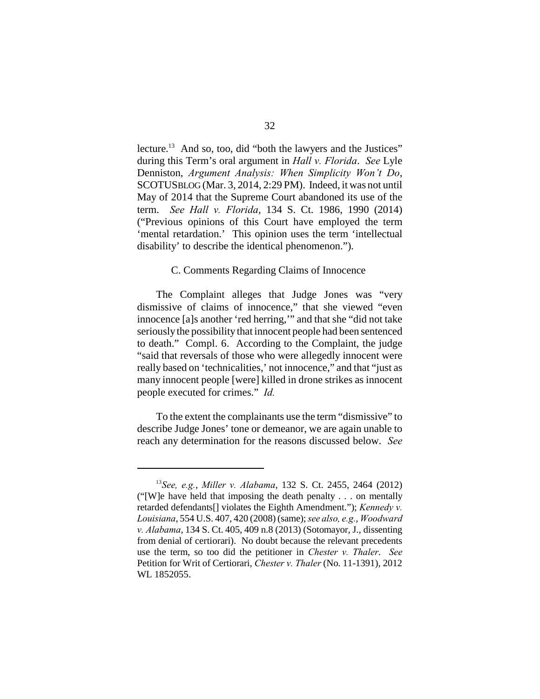lecture. $13$  And so, too, did "both the lawyers and the Justices" during this Term's oral argument in *Hall v. Florida*. *See* Lyle Denniston, *Argument Analysis: When Simplicity Won't Do*, SCOTUSBLOG (Mar. 3, 2014, 2:29 PM). Indeed, it was not until May of 2014 that the Supreme Court abandoned its use of the term. *See Hall v. Florida*, 134 S. Ct. 1986, 1990 (2014) ("Previous opinions of this Court have employed the term 'mental retardation.' This opinion uses the term 'intellectual disability' to describe the identical phenomenon.").

#### C. Comments Regarding Claims of Innocence

The Complaint alleges that Judge Jones was "very dismissive of claims of innocence," that she viewed "even innocence [a]s another 'red herring,'" and that she "did not take seriously the possibility that innocent people had been sentenced to death." Compl. 6. According to the Complaint, the judge "said that reversals of those who were allegedly innocent were really based on 'technicalities,' not innocence," and that "just as many innocent people [were] killed in drone strikes as innocent people executed for crimes." *Id.*

To the extent the complainants use the term "dismissive" to describe Judge Jones' tone or demeanor, we are again unable to reach any determination for the reasons discussed below. *See*

<sup>&</sup>lt;sup>13</sup> See, e.g., *Miller v. Alabama*, 132 S. Ct. 2455, 2464 (2012) ("[W]e have held that imposing the death penalty . . . on mentally retarded defendants[] violates the Eighth Amendment."); *Kennedy v. Louisiana*, 554 U.S. 407, 420 (2008) (same); *see also, e.g.*, *Woodward v. Alabama*, 134 S. Ct. 405, 409 n.8 (2013) (Sotomayor, J., dissenting from denial of certiorari). No doubt because the relevant precedents use the term, so too did the petitioner in *Chester v. Thaler*. *See* Petition for Writ of Certiorari, *Chester v. Thaler* (No. 11-1391), 2012 WL 1852055.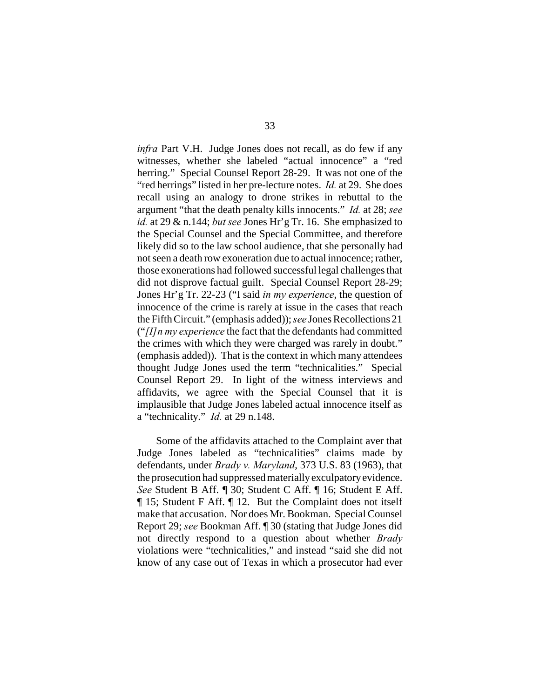*infra* Part V.H. Judge Jones does not recall, as do few if any witnesses, whether she labeled "actual innocence" a "red herring." Special Counsel Report 28-29. It was not one of the "red herrings" listed in her pre-lecture notes. *Id.* at 29. She does recall using an analogy to drone strikes in rebuttal to the argument "that the death penalty kills innocents." *Id.* at 28; *see id.* at 29 & n.144; *but see* Jones Hr'g Tr. 16. She emphasized to the Special Counsel and the Special Committee, and therefore likely did so to the law school audience, that she personally had not seen a death row exoneration due to actual innocence; rather, those exonerations had followed successful legal challenges that did not disprove factual guilt. Special Counsel Report 28-29; Jones Hr'g Tr. 22-23 ("I said *in my experience*, the question of innocence of the crime is rarely at issue in the cases that reach the Fifth Circuit." (emphasis added)); *see* Jones Recollections 21 ("*[I]n my experience* the fact that the defendants had committed the crimes with which they were charged was rarely in doubt." (emphasis added)). That is the context in which many attendees thought Judge Jones used the term "technicalities." Special Counsel Report 29. In light of the witness interviews and affidavits, we agree with the Special Counsel that it is implausible that Judge Jones labeled actual innocence itself as a "technicality." *Id.* at 29 n.148.

Some of the affidavits attached to the Complaint aver that Judge Jones labeled as "technicalities" claims made by defendants, under *Brady v. Maryland*, 373 U.S. 83 (1963), that the prosecution had suppressed materially exculpatory evidence. *See* Student B Aff. ¶ 30; Student C Aff. ¶ 16; Student E Aff. ¶ 15; Student F Aff. ¶ 12. But the Complaint does not itself make that accusation. Nor does Mr. Bookman. Special Counsel Report 29; *see* Bookman Aff. ¶ 30 (stating that Judge Jones did not directly respond to a question about whether *Brady* violations were "technicalities," and instead "said she did not know of any case out of Texas in which a prosecutor had ever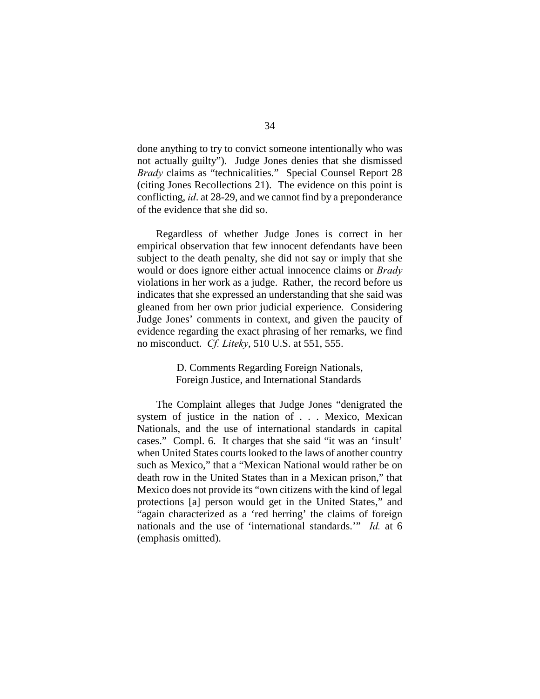done anything to try to convict someone intentionally who was not actually guilty"). Judge Jones denies that she dismissed *Brady* claims as "technicalities." Special Counsel Report 28 (citing Jones Recollections 21). The evidence on this point is conflicting, *id*. at 28-29, and we cannot find by a preponderance of the evidence that she did so.

Regardless of whether Judge Jones is correct in her empirical observation that few innocent defendants have been subject to the death penalty, she did not say or imply that she would or does ignore either actual innocence claims or *Brady* violations in her work as a judge. Rather, the record before us indicates that she expressed an understanding that she said was gleaned from her own prior judicial experience. Considering Judge Jones' comments in context, and given the paucity of evidence regarding the exact phrasing of her remarks, we find no misconduct. *Cf. Liteky*, 510 U.S. at 551, 555.

> D. Comments Regarding Foreign Nationals, Foreign Justice, and International Standards

The Complaint alleges that Judge Jones "denigrated the system of justice in the nation of . . . Mexico, Mexican Nationals, and the use of international standards in capital cases." Compl. 6. It charges that she said "it was an 'insult' when United States courts looked to the laws of another country such as Mexico," that a "Mexican National would rather be on death row in the United States than in a Mexican prison," that Mexico does not provide its "own citizens with the kind of legal protections [a] person would get in the United States," and "again characterized as a 'red herring' the claims of foreign nationals and the use of 'international standards.'" *Id.* at 6 (emphasis omitted).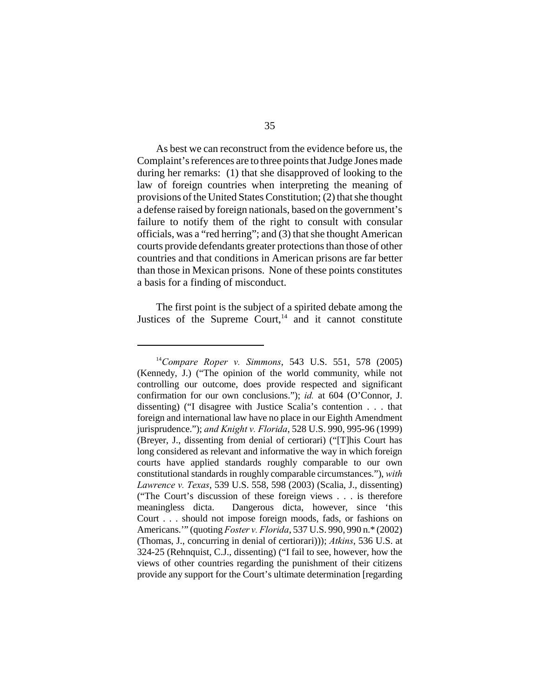As best we can reconstruct from the evidence before us, the Complaint's references are to three points that Judge Jones made during her remarks: (1) that she disapproved of looking to the law of foreign countries when interpreting the meaning of provisions of the United States Constitution; (2) that she thought a defense raised by foreign nationals, based on the government's failure to notify them of the right to consult with consular officials, was a "red herring"; and (3) that she thought American courts provide defendants greater protections than those of other countries and that conditions in American prisons are far better than those in Mexican prisons. None of these points constitutes a basis for a finding of misconduct.

The first point is the subject of a spirited debate among the Justices of the Supreme Court,<sup>14</sup> and it cannot constitute

<sup>&</sup>lt;sup>14</sup> Compare Roper v. Simmons, 543 U.S. 551, 578 (2005) (Kennedy, J.) ("The opinion of the world community, while not controlling our outcome, does provide respected and significant confirmation for our own conclusions."); *id.* at 604 (O'Connor, J. dissenting) ("I disagree with Justice Scalia's contention . . . that foreign and international law have no place in our Eighth Amendment jurisprudence."); *and Knight v. Florida*, 528 U.S. 990, 995-96 (1999) (Breyer, J., dissenting from denial of certiorari) ("[T]his Court has long considered as relevant and informative the way in which foreign courts have applied standards roughly comparable to our own constitutional standards in roughly comparable circumstances."), *with Lawrence v. Texas*, 539 U.S. 558, 598 (2003) (Scalia, J., dissenting) ("The Court's discussion of these foreign views . . . is therefore meaningless dicta. Dangerous dicta, however, since 'this Court . . . should not impose foreign moods, fads, or fashions on Americans.'" (quoting *Foster v. Florida*, 537 U.S. 990, 990 n.\* (2002) (Thomas, J., concurring in denial of certiorari))); *Atkins*, 536 U.S. at 324-25 (Rehnquist, C.J., dissenting) ("I fail to see, however, how the views of other countries regarding the punishment of their citizens provide any support for the Court's ultimate determination [regarding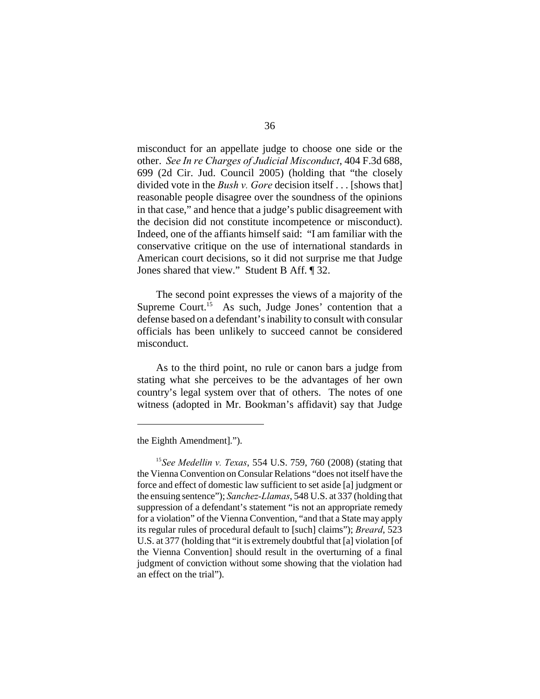misconduct for an appellate judge to choose one side or the other. *See In re Charges of Judicial Misconduct*, 404 F.3d 688, 699 (2d Cir. Jud. Council 2005) (holding that "the closely divided vote in the *Bush v. Gore* decision itself . . . [shows that] reasonable people disagree over the soundness of the opinions in that case," and hence that a judge's public disagreement with the decision did not constitute incompetence or misconduct). Indeed, one of the affiants himself said: "I am familiar with the conservative critique on the use of international standards in American court decisions, so it did not surprise me that Judge Jones shared that view." Student B Aff. ¶ 32.

The second point expresses the views of a majority of the Supreme Court.<sup>15</sup> As such, Judge Jones' contention that a defense based on a defendant's inability to consult with consular officials has been unlikely to succeed cannot be considered misconduct.

As to the third point, no rule or canon bars a judge from stating what she perceives to be the advantages of her own country's legal system over that of others. The notes of one witness (adopted in Mr. Bookman's affidavit) say that Judge

the Eighth Amendment].").

<sup>&</sup>lt;sup>15</sup> See Medellin v. Texas, 554 U.S. 759, 760 (2008) (stating that the Vienna Convention on Consular Relations "does not itself have the force and effect of domestic law sufficient to set aside [a] judgment or the ensuing sentence"); *Sanchez-Llamas*, 548 U.S. at 337 (holding that suppression of a defendant's statement "is not an appropriate remedy for a violation" of the Vienna Convention, "and that a State may apply its regular rules of procedural default to [such] claims"); *Breard*, 523 U.S. at 377 (holding that "it is extremely doubtful that [a] violation [of the Vienna Convention] should result in the overturning of a final judgment of conviction without some showing that the violation had an effect on the trial").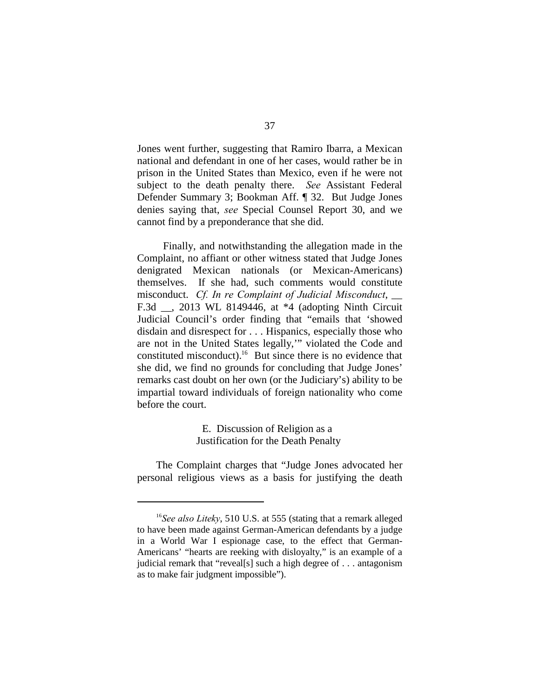Jones went further, suggesting that Ramiro Ibarra, a Mexican national and defendant in one of her cases, would rather be in prison in the United States than Mexico, even if he were not subject to the death penalty there. *See* Assistant Federal Defender Summary 3; Bookman Aff. ¶ 32. But Judge Jones denies saying that, *see* Special Counsel Report 30, and we cannot find by a preponderance that she did.

 Finally, and notwithstanding the allegation made in the Complaint, no affiant or other witness stated that Judge Jones denigrated Mexican nationals (or Mexican-Americans) themselves. If she had, such comments would constitute misconduct. *Cf. In re Complaint of Judicial Misconduct*, \_\_ F.3d \_\_, 2013 WL 8149446, at \*4 (adopting Ninth Circuit Judicial Council's order finding that "emails that 'showed disdain and disrespect for . . . Hispanics, especially those who are not in the United States legally,'" violated the Code and constituted misconduct).<sup>16</sup> But since there is no evidence that she did, we find no grounds for concluding that Judge Jones' remarks cast doubt on her own (or the Judiciary's) ability to be impartial toward individuals of foreign nationality who come before the court.

> E. Discussion of Religion as a Justification for the Death Penalty

The Complaint charges that "Judge Jones advocated her personal religious views as a basis for justifying the death

<sup>&</sup>lt;sup>16</sup>See also Liteky, 510 U.S. at 555 (stating that a remark alleged to have been made against German-American defendants by a judge in a World War I espionage case, to the effect that German-Americans' "hearts are reeking with disloyalty," is an example of a judicial remark that "reveal[s] such a high degree of . . . antagonism as to make fair judgment impossible").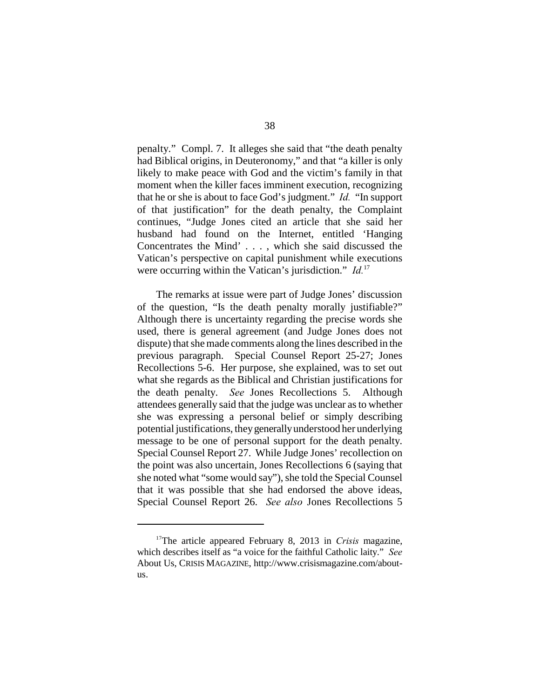penalty." Compl. 7. It alleges she said that "the death penalty had Biblical origins, in Deuteronomy," and that "a killer is only likely to make peace with God and the victim's family in that moment when the killer faces imminent execution, recognizing that he or she is about to face God's judgment." *Id.* "In support of that justification" for the death penalty, the Complaint continues, "Judge Jones cited an article that she said her husband had found on the Internet, entitled 'Hanging Concentrates the Mind' . . . , which she said discussed the Vatican's perspective on capital punishment while executions were occurring within the Vatican's jurisdiction." *Id.*<sup>17</sup>

The remarks at issue were part of Judge Jones' discussion of the question, "Is the death penalty morally justifiable?" Although there is uncertainty regarding the precise words she used, there is general agreement (and Judge Jones does not dispute) that she made comments along the lines described in the previous paragraph. Special Counsel Report 25-27; Jones Recollections 5-6. Her purpose, she explained, was to set out what she regards as the Biblical and Christian justifications for the death penalty. *See* Jones Recollections 5. Although attendees generally said that the judge was unclear as to whether she was expressing a personal belief or simply describing potential justifications, they generally understood her underlying message to be one of personal support for the death penalty. Special Counsel Report 27. While Judge Jones' recollection on the point was also uncertain, Jones Recollections 6 (saying that she noted what "some would say"), she told the Special Counsel that it was possible that she had endorsed the above ideas, Special Counsel Report 26. *See also* Jones Recollections 5

<sup>&</sup>lt;sup>17</sup>The article appeared February 8, 2013 in *Crisis* magazine, which describes itself as "a voice for the faithful Catholic laity." *See* About Us, CRISIS MAGAZINE, http://www.crisismagazine.com/aboutus.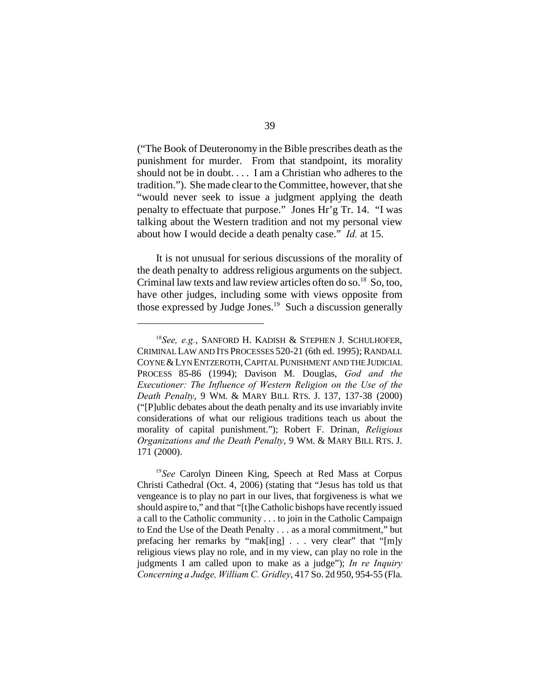("The Book of Deuteronomy in the Bible prescribes death as the punishment for murder. From that standpoint, its morality should not be in doubt. . . . I am a Christian who adheres to the tradition."). She made clear to the Committee, however, that she "would never seek to issue a judgment applying the death penalty to effectuate that purpose." Jones Hr'g Tr. 14. "I was talking about the Western tradition and not my personal view about how I would decide a death penalty case." *Id.* at 15.

It is not unusual for serious discussions of the morality of the death penalty to address religious arguments on the subject. Criminal law texts and law review articles often do so.<sup>18</sup> So, too, have other judges, including some with views opposite from those expressed by Judge Jones.<sup>19</sup> Such a discussion generally

<sup>&</sup>lt;sup>18</sup> See, e.g., SANFORD H. KADISH & STEPHEN J. SCHULHOFER, CRIMINAL LAW AND ITS PROCESSES 520-21 (6th ed. 1995); RANDALL COYNE &LYN ENTZEROTH,CAPITAL PUNISHMENT AND THE JUDICIAL PROCESS 85-86 (1994); Davison M. Douglas, *God and the Executioner: The Influence of Western Religion on the Use of the Death Penalty*, 9 WM. & MARY BILL RTS. J. 137, 137-38 (2000) ("[P]ublic debates about the death penalty and its use invariably invite considerations of what our religious traditions teach us about the morality of capital punishment."); Robert F. Drinan, *Religious Organizations and the Death Penalty*, 9 WM. & MARY BILL RTS. J. 171 (2000).

<sup>&</sup>lt;sup>19</sup> See Carolyn Dineen King, Speech at Red Mass at Corpus Christi Cathedral (Oct. 4, 2006) (stating that "Jesus has told us that vengeance is to play no part in our lives, that forgiveness is what we should aspire to," and that "[t]he Catholic bishops have recently issued a call to the Catholic community . . . to join in the Catholic Campaign to End the Use of the Death Penalty . . . as a moral commitment," but prefacing her remarks by "mak[ing] . . . very clear" that "[m]y religious views play no role, and in my view, can play no role in the judgments I am called upon to make as a judge"); *In re Inquiry Concerning a Judge, William C. Gridley*, 417 So. 2d 950, 954-55 (Fla.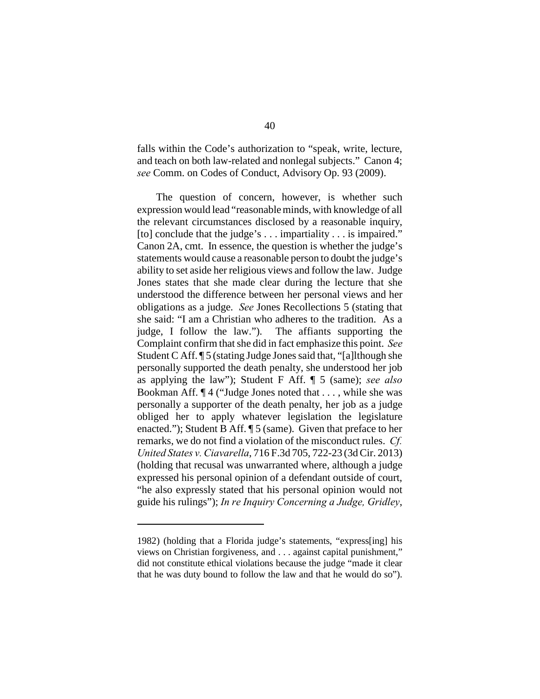falls within the Code's authorization to "speak, write, lecture, and teach on both law-related and nonlegal subjects." Canon 4; *see* Comm. on Codes of Conduct, Advisory Op. 93 (2009).

The question of concern, however, is whether such expression would lead "reasonable minds, with knowledge of all the relevant circumstances disclosed by a reasonable inquiry, [to] conclude that the judge's . . . impartiality . . . is impaired." Canon 2A, cmt. In essence, the question is whether the judge's statements would cause a reasonable person to doubt the judge's ability to set aside her religious views and follow the law. Judge Jones states that she made clear during the lecture that she understood the difference between her personal views and her obligations as a judge. *See* Jones Recollections 5 (stating that she said: "I am a Christian who adheres to the tradition. As a judge, I follow the law."). The affiants supporting the Complaint confirm that she did in fact emphasize this point. *See* Student C Aff. ¶ 5 (stating Judge Jones said that, "[a]lthough she personally supported the death penalty, she understood her job as applying the law"); Student F Aff. ¶ 5 (same); *see also* Bookman Aff. ¶ 4 ("Judge Jones noted that . . . , while she was personally a supporter of the death penalty, her job as a judge obliged her to apply whatever legislation the legislature enacted."); Student B Aff. ¶ 5 (same). Given that preface to her remarks, we do not find a violation of the misconduct rules. *Cf. United States v. Ciavarella*, 716 F.3d 705, 722-23 (3d Cir. 2013) (holding that recusal was unwarranted where, although a judge expressed his personal opinion of a defendant outside of court, "he also expressly stated that his personal opinion would not guide his rulings"); *In re Inquiry Concerning a Judge, Gridley*,

<sup>1982) (</sup>holding that a Florida judge's statements, "express[ing] his views on Christian forgiveness, and . . . against capital punishment," did not constitute ethical violations because the judge "made it clear that he was duty bound to follow the law and that he would do so").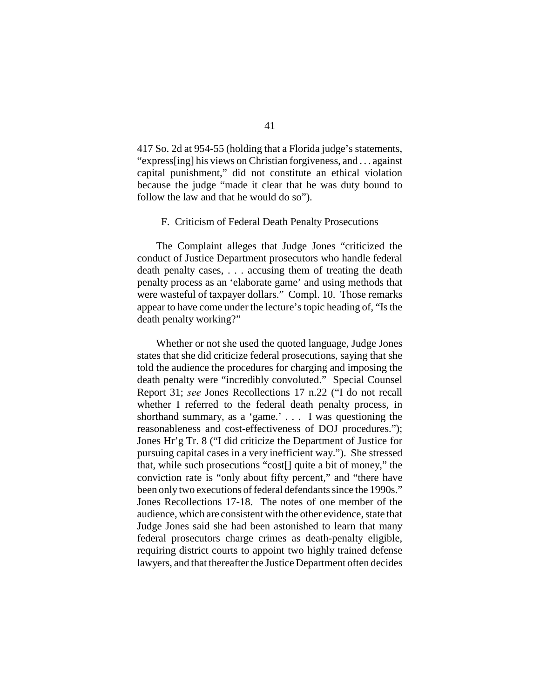417 So. 2d at 954-55 (holding that a Florida judge's statements, "express[ing] his views on Christian forgiveness, and . . . against capital punishment," did not constitute an ethical violation because the judge "made it clear that he was duty bound to follow the law and that he would do so").

#### F. Criticism of Federal Death Penalty Prosecutions

The Complaint alleges that Judge Jones "criticized the conduct of Justice Department prosecutors who handle federal death penalty cases, . . . accusing them of treating the death penalty process as an 'elaborate game' and using methods that were wasteful of taxpayer dollars." Compl. 10. Those remarks appear to have come under the lecture's topic heading of, "Is the death penalty working?"

Whether or not she used the quoted language, Judge Jones states that she did criticize federal prosecutions, saying that she told the audience the procedures for charging and imposing the death penalty were "incredibly convoluted." Special Counsel Report 31; *see* Jones Recollections 17 n.22 ("I do not recall whether I referred to the federal death penalty process, in shorthand summary, as a 'game.' . . . I was questioning the reasonableness and cost-effectiveness of DOJ procedures."); Jones Hr'g Tr. 8 ("I did criticize the Department of Justice for pursuing capital cases in a very inefficient way."). She stressed that, while such prosecutions "cost[] quite a bit of money," the conviction rate is "only about fifty percent," and "there have been only two executions of federal defendants since the 1990s." Jones Recollections 17-18. The notes of one member of the audience, which are consistent with the other evidence, state that Judge Jones said she had been astonished to learn that many federal prosecutors charge crimes as death-penalty eligible, requiring district courts to appoint two highly trained defense lawyers, and that thereafter the Justice Department often decides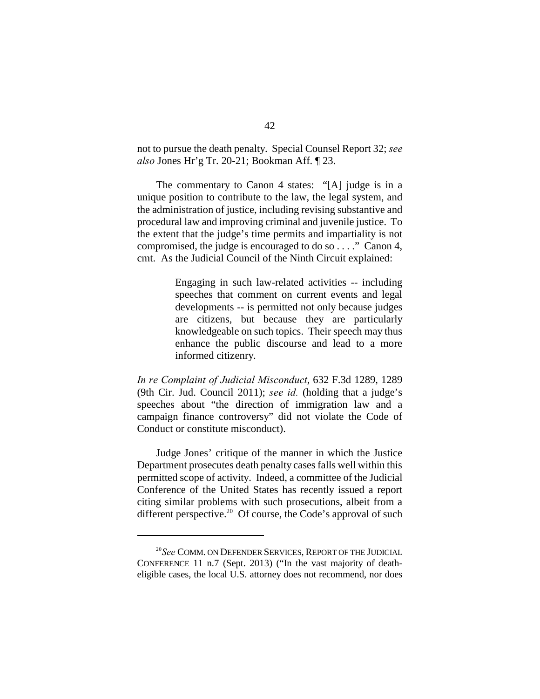not to pursue the death penalty. Special Counsel Report 32; *see also* Jones Hr'g Tr. 20-21; Bookman Aff. ¶ 23.

The commentary to Canon 4 states: "[A] judge is in a unique position to contribute to the law, the legal system, and the administration of justice, including revising substantive and procedural law and improving criminal and juvenile justice. To the extent that the judge's time permits and impartiality is not compromised, the judge is encouraged to do so . . . ." Canon 4, cmt. As the Judicial Council of the Ninth Circuit explained:

> Engaging in such law-related activities -- including speeches that comment on current events and legal developments -- is permitted not only because judges are citizens, but because they are particularly knowledgeable on such topics. Their speech may thus enhance the public discourse and lead to a more informed citizenry.

*In re Complaint of Judicial Misconduct*, 632 F.3d 1289, 1289 (9th Cir. Jud. Council 2011); *see id.* (holding that a judge's speeches about "the direction of immigration law and a campaign finance controversy" did not violate the Code of Conduct or constitute misconduct).

Judge Jones' critique of the manner in which the Justice Department prosecutes death penalty cases falls well within this permitted scope of activity. Indeed, a committee of the Judicial Conference of the United States has recently issued a report citing similar problems with such prosecutions, albeit from a different perspective.<sup>20</sup> Of course, the Code's approval of such

<sup>&</sup>lt;sup>20</sup>See COMM. ON DEFENDER SERVICES, REPORT OF THE JUDICIAL CONFERENCE 11 n.7 (Sept. 2013) ("In the vast majority of deatheligible cases, the local U.S. attorney does not recommend, nor does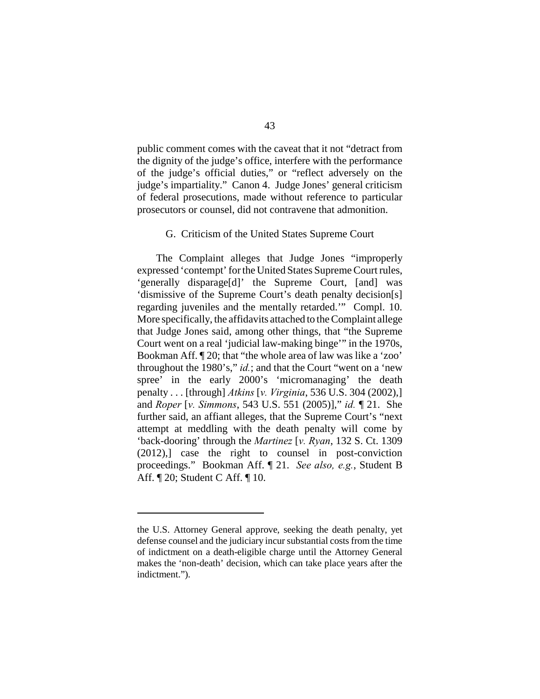public comment comes with the caveat that it not "detract from the dignity of the judge's office, interfere with the performance of the judge's official duties," or "reflect adversely on the judge's impartiality." Canon 4. Judge Jones' general criticism of federal prosecutions, made without reference to particular prosecutors or counsel, did not contravene that admonition.

## G. Criticism of the United States Supreme Court

The Complaint alleges that Judge Jones "improperly expressed 'contempt' for the United States Supreme Court rules, 'generally disparage[d]' the Supreme Court, [and] was 'dismissive of the Supreme Court's death penalty decision[s] regarding juveniles and the mentally retarded.'" Compl. 10. More specifically, the affidavits attached to the Complaint allege that Judge Jones said, among other things, that "the Supreme Court went on a real 'judicial law-making binge'" in the 1970s, Bookman Aff. ¶ 20; that "the whole area of law was like a 'zoo' throughout the 1980's," *id.*; and that the Court "went on a 'new spree' in the early 2000's 'micromanaging' the death penalty . . . [through] *Atkins* [*v. Virginia*, 536 U.S. 304 (2002),] and *Roper* [*v. Simmons*, 543 U.S. 551 (2005)]," *id.* ¶ 21. She further said, an affiant alleges, that the Supreme Court's "next attempt at meddling with the death penalty will come by 'back-dooring' through the *Martinez* [*v. Ryan*, 132 S. Ct. 1309 (2012),] case the right to counsel in post-conviction proceedings." Bookman Aff. ¶ 21. *See also, e.g.*, Student B Aff. ¶ 20; Student C Aff. ¶ 10.

the U.S. Attorney General approve, seeking the death penalty, yet defense counsel and the judiciary incur substantial costs from the time of indictment on a death-eligible charge until the Attorney General makes the 'non-death' decision, which can take place years after the indictment.").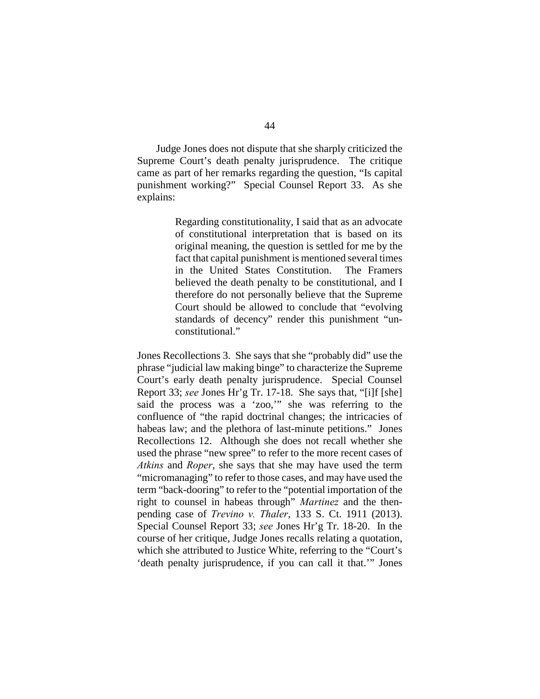Judge Jones does not dispute that she sharply criticized the Supreme Court's death penalty jurisprudence. The critique came as part of her remarks regarding the question, "Is capital punishment working?" Special Counsel Report 33. As she explains:

> Regarding constitutionality, I said that as an advocate of constitutional interpretation that is based on its original meaning, the question is settled for me by the fact that capital punishment is mentioned several times in the United States Constitution. The Framers believed the death penalty to be constitutional, and I therefore do not personally believe that the Supreme Court should be allowed to conclude that "evolving standards of decency" render this punishment "unconstitutional."

Jones Recollections 3. She says that she "probably did" use the phrase "judicial law making binge" to characterize the Supreme Court's early death penalty jurisprudence. Special Counsel Report 33; *see* Jones Hr'g Tr. 17-18. She says that, "[i]f [she] said the process was a 'zoo,'" she was referring to the confluence of "the rapid doctrinal changes; the intricacies of habeas law; and the plethora of last-minute petitions." Jones Recollections 12. Although she does not recall whether she used the phrase "new spree" to refer to the more recent cases of *Atkins* and *Roper*, she says that she may have used the term "micromanaging" to refer to those cases, and may have used the term "back-dooring" to refer to the "potential importation of the right to counsel in habeas through" *Martinez* and the thenpending case of *Trevino v. Thaler*, 133 S. Ct. 1911 (2013). Special Counsel Report 33; *see* Jones Hr'g Tr. 18-20. In the course of her critique, Judge Jones recalls relating a quotation, which she attributed to Justice White, referring to the "Court's 'death penalty jurisprudence, if you can call it that.'" Jones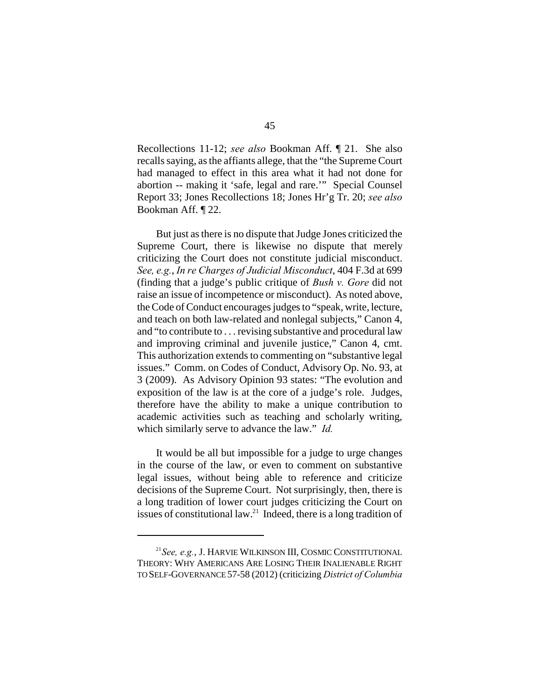Recollections 11-12; *see also* Bookman Aff. ¶ 21. She also recalls saying, as the affiants allege, that the "the Supreme Court had managed to effect in this area what it had not done for abortion -- making it 'safe, legal and rare.'" Special Counsel Report 33; Jones Recollections 18; Jones Hr'g Tr. 20; *see also* Bookman Aff. ¶ 22.

But just as there is no dispute that Judge Jones criticized the Supreme Court, there is likewise no dispute that merely criticizing the Court does not constitute judicial misconduct. *See, e.g.*, *In re Charges of Judicial Misconduct*, 404 F.3d at 699 (finding that a judge's public critique of *Bush v. Gore* did not raise an issue of incompetence or misconduct). As noted above, the Code of Conduct encourages judges to "speak, write, lecture, and teach on both law-related and nonlegal subjects," Canon 4, and "to contribute to . . . revising substantive and procedural law and improving criminal and juvenile justice," Canon 4, cmt. This authorization extends to commenting on "substantive legal issues." Comm. on Codes of Conduct, Advisory Op. No. 93, at 3 (2009). As Advisory Opinion 93 states: "The evolution and exposition of the law is at the core of a judge's role. Judges, therefore have the ability to make a unique contribution to academic activities such as teaching and scholarly writing, which similarly serve to advance the law." *Id.*

It would be all but impossible for a judge to urge changes in the course of the law, or even to comment on substantive legal issues, without being able to reference and criticize decisions of the Supreme Court. Not surprisingly, then, there is a long tradition of lower court judges criticizing the Court on issues of constitutional law.<sup>21</sup> Indeed, there is a long tradition of

<sup>&</sup>lt;sup>21</sup> See, e.g., J. HARVIE WILKINSON III, COSMIC CONSTITUTIONAL THEORY: WHY AMERICANS ARE LOSING THEIR INALIENABLE RIGHT TO SELF-GOVERNANCE 57-58 (2012) (criticizing *District of Columbia*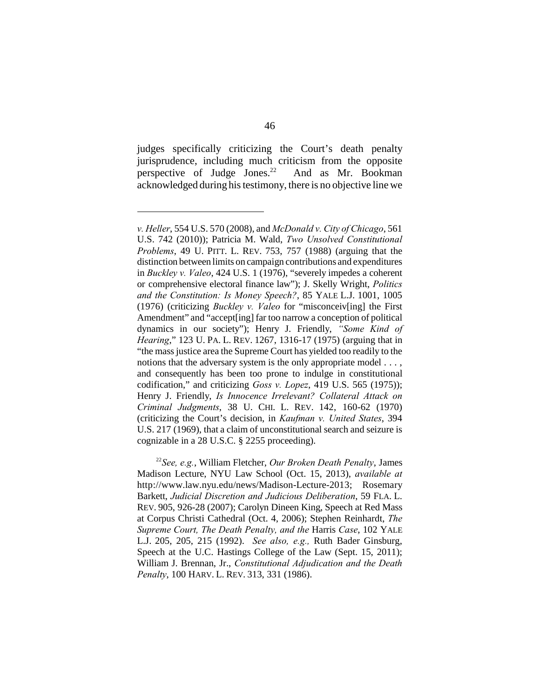judges specifically criticizing the Court's death penalty jurisprudence, including much criticism from the opposite perspective of Judge Jones. $2^2$  And as Mr. Bookman acknowledged during his testimony, there is no objective line we

*v. Heller*, 554 U.S. 570 (2008), and *McDonald v. City of Chicago*, 561 U.S. 742 (2010)); Patricia M. Wald, *Two Unsolved Constitutional Problems*, 49 U. PITT. L. REV. 753, 757 (1988) (arguing that the distinction between limits on campaign contributions and expenditures in *Buckley v. Valeo*, 424 U.S. 1 (1976), "severely impedes a coherent or comprehensive electoral finance law"); J. Skelly Wright, *Politics and the Constitution: Is Money Speech?*, 85 YALE L.J. 1001, 1005 (1976) (criticizing *Buckley v. Valeo* for "misconceiv[ing] the First Amendment" and "accept[ing] far too narrow a conception of political dynamics in our society"); Henry J. Friendly, *"Some Kind of Hearing*," 123 U. PA. L. REV. 1267, 1316-17 (1975) (arguing that in "the mass justice area the Supreme Court has yielded too readily to the notions that the adversary system is the only appropriate model . . . , and consequently has been too prone to indulge in constitutional codification," and criticizing *Goss v. Lopez*, 419 U.S. 565 (1975)); Henry J. Friendly, *Is Innocence Irrelevant? Collateral Attack on Criminal Judgments*, 38 U. CHI. L. REV. 142, 160-62 (1970) (criticizing the Court's decision, in *Kaufman v. United States*, 394 U.S. 217 (1969), that a claim of unconstitutional search and seizure is cognizable in a 28 U.S.C. § 2255 proceeding).

*See, e.g.*, William Fletcher, *Our Broken Death Penalty*, James <sup>22</sup> Madison Lecture, NYU Law School (Oct. 15, 2013), *available at* http://www.law.nyu.edu/news/Madison-Lecture-2013; Rosemary Barkett, *Judicial Discretion and Judicious Deliberation*, 59 FLA. L. REV. 905, 926-28 (2007); Carolyn Dineen King, Speech at Red Mass at Corpus Christi Cathedral (Oct. 4, 2006); Stephen Reinhardt, *The Supreme Court, The Death Penalty, and the* Harris *Case*, 102 YALE L.J. 205, 205, 215 (1992). *See also, e.g.,* Ruth Bader Ginsburg, Speech at the U.C. Hastings College of the Law (Sept. 15, 2011); William J. Brennan, Jr., *Constitutional Adjudication and the Death Penalty*, 100 HARV. L. REV. 313, 331 (1986).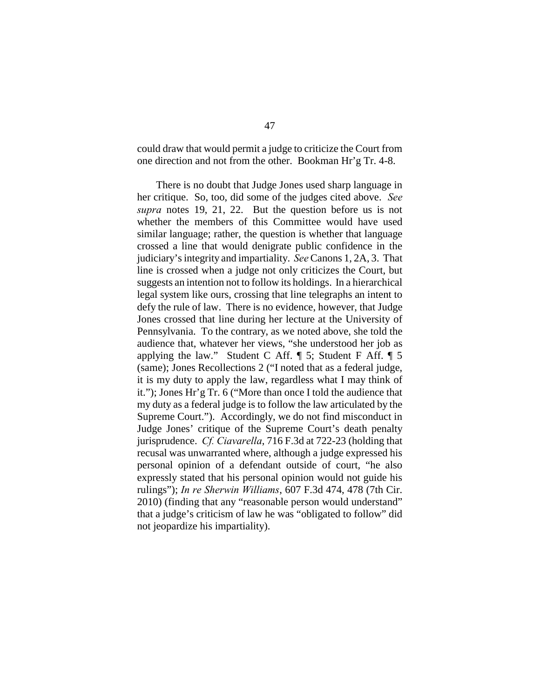could draw that would permit a judge to criticize the Court from one direction and not from the other. Bookman Hr'g Tr. 4-8.

There is no doubt that Judge Jones used sharp language in her critique. So, too, did some of the judges cited above. *See supra* notes 19, 21, 22. But the question before us is not whether the members of this Committee would have used similar language; rather, the question is whether that language crossed a line that would denigrate public confidence in the judiciary's integrity and impartiality. *See* Canons 1, 2A, 3. That line is crossed when a judge not only criticizes the Court, but suggests an intention not to follow its holdings. In a hierarchical legal system like ours, crossing that line telegraphs an intent to defy the rule of law. There is no evidence, however, that Judge Jones crossed that line during her lecture at the University of Pennsylvania. To the contrary, as we noted above, she told the audience that, whatever her views, "she understood her job as applying the law." Student C Aff.  $\P$  5; Student F Aff.  $\P$  5 (same); Jones Recollections 2 ("I noted that as a federal judge, it is my duty to apply the law, regardless what I may think of it."); Jones Hr'g Tr. 6 ("More than once I told the audience that my duty as a federal judge is to follow the law articulated by the Supreme Court."). Accordingly, we do not find misconduct in Judge Jones' critique of the Supreme Court's death penalty jurisprudence. *Cf. Ciavarella*, 716 F.3d at 722-23 (holding that recusal was unwarranted where, although a judge expressed his personal opinion of a defendant outside of court, "he also expressly stated that his personal opinion would not guide his rulings"); *In re Sherwin Williams*, 607 F.3d 474, 478 (7th Cir. 2010) (finding that any "reasonable person would understand" that a judge's criticism of law he was "obligated to follow" did not jeopardize his impartiality).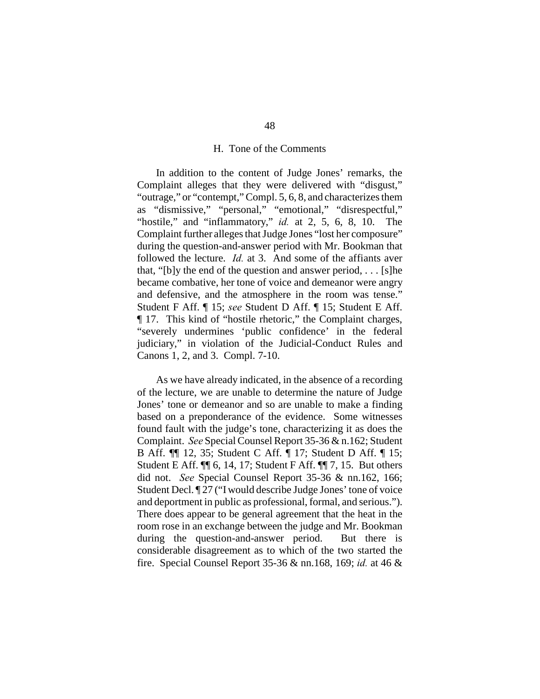#### H. Tone of the Comments

In addition to the content of Judge Jones' remarks, the Complaint alleges that they were delivered with "disgust," "outrage," or "contempt," Compl. 5, 6, 8, and characterizes them as "dismissive," "personal," "emotional," "disrespectful," "hostile," and "inflammatory," *id.* at 2, 5, 6, 8, 10. The Complaint further alleges that Judge Jones "lost her composure" during the question-and-answer period with Mr. Bookman that followed the lecture. *Id.* at 3. And some of the affiants aver that, "[b]y the end of the question and answer period, . . . [s]he became combative, her tone of voice and demeanor were angry and defensive, and the atmosphere in the room was tense." Student F Aff. ¶ 15; *see* Student D Aff. ¶ 15; Student E Aff. ¶ 17. This kind of "hostile rhetoric," the Complaint charges, "severely undermines 'public confidence' in the federal judiciary," in violation of the Judicial-Conduct Rules and Canons 1, 2, and 3. Compl. 7-10.

As we have already indicated, in the absence of a recording of the lecture, we are unable to determine the nature of Judge Jones' tone or demeanor and so are unable to make a finding based on a preponderance of the evidence. Some witnesses found fault with the judge's tone, characterizing it as does the Complaint. *See* Special Counsel Report 35-36 & n.162; Student B Aff. ¶¶ 12, 35; Student C Aff. ¶ 17; Student D Aff. ¶ 15; Student E Aff. ¶¶ 6, 14, 17; Student F Aff. ¶¶ 7, 15. But others did not. *See* Special Counsel Report 35-36 & nn.162, 166; Student Decl. ¶ 27 ("I would describe Judge Jones' tone of voice and deportment in public as professional, formal, and serious."). There does appear to be general agreement that the heat in the room rose in an exchange between the judge and Mr. Bookman during the question-and-answer period. But there is considerable disagreement as to which of the two started the fire. Special Counsel Report 35-36 & nn.168, 169; *id.* at 46 &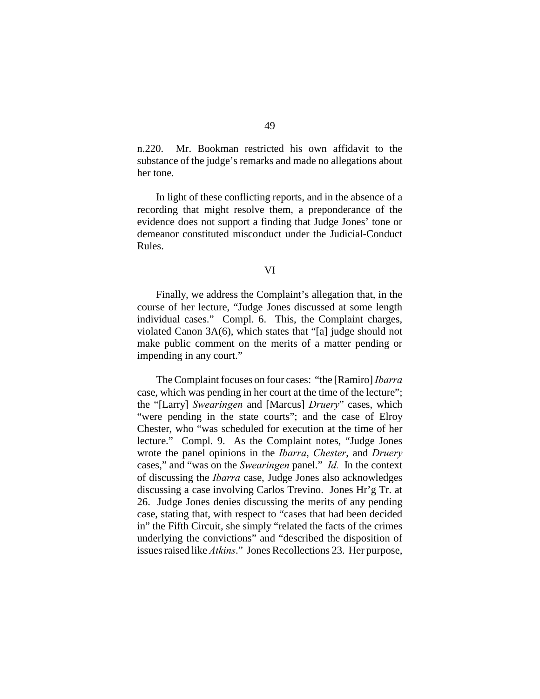n.220. Mr. Bookman restricted his own affidavit to the substance of the judge's remarks and made no allegations about her tone.

In light of these conflicting reports, and in the absence of a recording that might resolve them, a preponderance of the evidence does not support a finding that Judge Jones' tone or demeanor constituted misconduct under the Judicial-Conduct Rules.

VI

Finally, we address the Complaint's allegation that, in the course of her lecture, "Judge Jones discussed at some length individual cases." Compl. 6. This, the Complaint charges, violated Canon 3A(6), which states that "[a] judge should not make public comment on the merits of a matter pending or impending in any court."

The Complaint focuses on four cases: "the [Ramiro] *Ibarra* case, which was pending in her court at the time of the lecture"; the "[Larry] *Swearingen* and [Marcus] *Druery*" cases, which "were pending in the state courts"; and the case of Elroy Chester, who "was scheduled for execution at the time of her lecture." Compl. 9. As the Complaint notes, "Judge Jones wrote the panel opinions in the *Ibarra*, *Chester*, and *Druery* cases," and "was on the *Swearingen* panel." *Id.* In the context of discussing the *Ibarra* case, Judge Jones also acknowledges discussing a case involving Carlos Trevino. Jones Hr'g Tr. at 26. Judge Jones denies discussing the merits of any pending case, stating that, with respect to "cases that had been decided in" the Fifth Circuit, she simply "related the facts of the crimes underlying the convictions" and "described the disposition of issues raised like *Atkins*." Jones Recollections 23. Her purpose,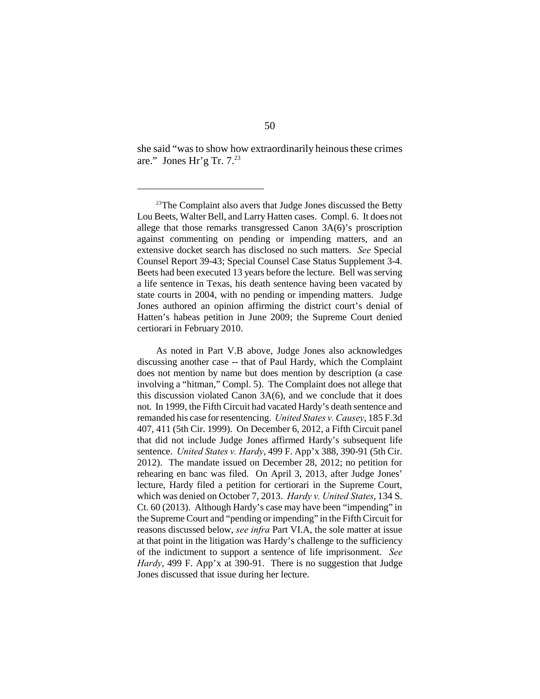she said "was to show how extraordinarily heinous these crimes are." Jones Hr'g Tr.  $7.^{23}$ 

As noted in Part V.B above, Judge Jones also acknowledges discussing another case -- that of Paul Hardy, which the Complaint does not mention by name but does mention by description (a case involving a "hitman," Compl. 5). The Complaint does not allege that this discussion violated Canon 3A(6), and we conclude that it does not. In 1999, the Fifth Circuit had vacated Hardy's death sentence and remanded his case for resentencing. *United States v. Causey*, 185 F.3d 407, 411 (5th Cir. 1999). On December 6, 2012, a Fifth Circuit panel that did not include Judge Jones affirmed Hardy's subsequent life sentence. *United States v. Hardy*, 499 F. App'x 388, 390-91 (5th Cir. 2012). The mandate issued on December 28, 2012; no petition for rehearing en banc was filed. On April 3, 2013, after Judge Jones' lecture, Hardy filed a petition for certiorari in the Supreme Court, which was denied on October 7, 2013. *Hardy v. United States*, 134 S. Ct. 60 (2013). Although Hardy's case may have been "impending" in the Supreme Court and "pending or impending" in the Fifth Circuit for reasons discussed below, *see infra* Part VI.A, the sole matter at issue at that point in the litigation was Hardy's challenge to the sufficiency of the indictment to support a sentence of life imprisonment. *See Hardy*, 499 F. App'x at 390-91. There is no suggestion that Judge Jones discussed that issue during her lecture.

 $23$ The Complaint also avers that Judge Jones discussed the Betty Lou Beets, Walter Bell, and Larry Hatten cases. Compl. 6. It does not allege that those remarks transgressed Canon 3A(6)'s proscription against commenting on pending or impending matters, and an extensive docket search has disclosed no such matters. *See* Special Counsel Report 39-43; Special Counsel Case Status Supplement 3-4. Beets had been executed 13 years before the lecture. Bell was serving a life sentence in Texas, his death sentence having been vacated by state courts in 2004, with no pending or impending matters. Judge Jones authored an opinion affirming the district court's denial of Hatten's habeas petition in June 2009; the Supreme Court denied certiorari in February 2010.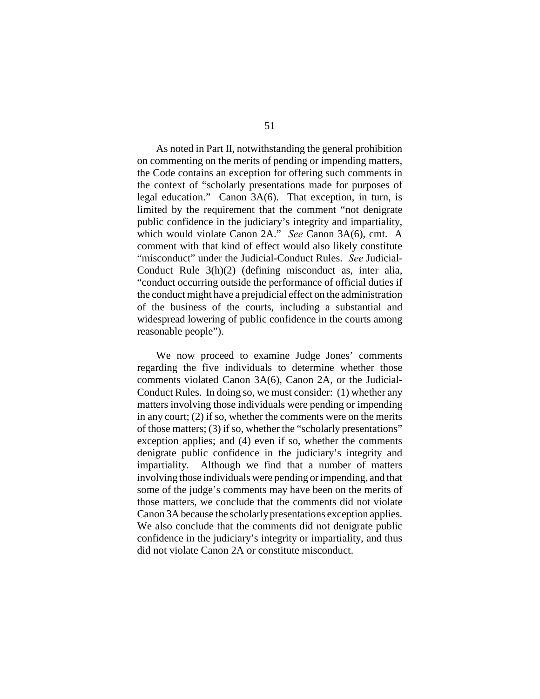As noted in Part II, notwithstanding the general prohibition on commenting on the merits of pending or impending matters, the Code contains an exception for offering such comments in the context of "scholarly presentations made for purposes of legal education." Canon 3A(6). That exception, in turn, is limited by the requirement that the comment "not denigrate public confidence in the judiciary's integrity and impartiality, which would violate Canon 2A." *See* Canon 3A(6), cmt. A comment with that kind of effect would also likely constitute "misconduct" under the Judicial-Conduct Rules. *See* Judicial-Conduct Rule 3(h)(2) (defining misconduct as, inter alia, "conduct occurring outside the performance of official duties if the conduct might have a prejudicial effect on the administration of the business of the courts, including a substantial and widespread lowering of public confidence in the courts among reasonable people").

We now proceed to examine Judge Jones' comments regarding the five individuals to determine whether those comments violated Canon 3A(6), Canon 2A, or the Judicial-Conduct Rules. In doing so, we must consider: (1) whether any matters involving those individuals were pending or impending in any court; (2) if so, whether the comments were on the merits of those matters; (3) if so, whether the "scholarly presentations" exception applies; and (4) even if so, whether the comments denigrate public confidence in the judiciary's integrity and impartiality. Although we find that a number of matters involving those individuals were pending or impending, and that some of the judge's comments may have been on the merits of those matters, we conclude that the comments did not violate Canon 3A because the scholarly presentations exception applies. We also conclude that the comments did not denigrate public confidence in the judiciary's integrity or impartiality, and thus did not violate Canon 2A or constitute misconduct.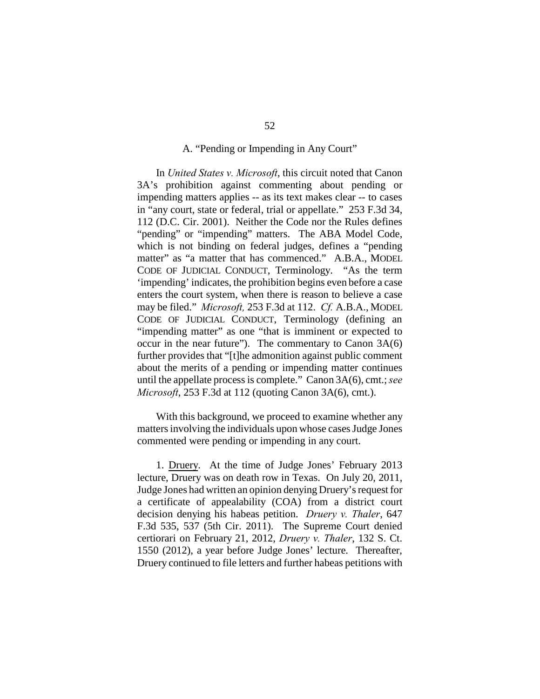#### A. "Pending or Impending in Any Court"

In *United States v. Microsoft*, this circuit noted that Canon 3A's prohibition against commenting about pending or impending matters applies -- as its text makes clear -- to cases in "any court, state or federal, trial or appellate." 253 F.3d 34, 112 (D.C. Cir. 2001). Neither the Code nor the Rules defines "pending" or "impending" matters. The ABA Model Code, which is not binding on federal judges, defines a "pending matter" as "a matter that has commenced." A.B.A., MODEL CODE OF JUDICIAL CONDUCT, Terminology. "As the term 'impending' indicates, the prohibition begins even before a case enters the court system, when there is reason to believe a case may be filed." *Microsoft,* 253 F.3d at 112. *Cf.* A.B.A., MODEL CODE OF JUDICIAL CONDUCT, Terminology (defining an "impending matter" as one "that is imminent or expected to occur in the near future"). The commentary to Canon 3A(6) further provides that "[t]he admonition against public comment about the merits of a pending or impending matter continues until the appellate process is complete." Canon 3A(6), cmt.; *see Microsoft*, 253 F.3d at 112 (quoting Canon 3A(6), cmt.).

With this background, we proceed to examine whether any matters involving the individuals upon whose cases Judge Jones commented were pending or impending in any court.

1. Druery. At the time of Judge Jones' February 2013 lecture, Druery was on death row in Texas. On July 20, 2011, Judge Jones had written an opinion denying Druery's request for a certificate of appealability (COA) from a district court decision denying his habeas petition. *Druery v. Thaler*, 647 F.3d 535, 537 (5th Cir. 2011). The Supreme Court denied certiorari on February 21, 2012, *Druery v. Thaler*, 132 S. Ct. 1550 (2012), a year before Judge Jones' lecture. Thereafter, Druery continued to file letters and further habeas petitions with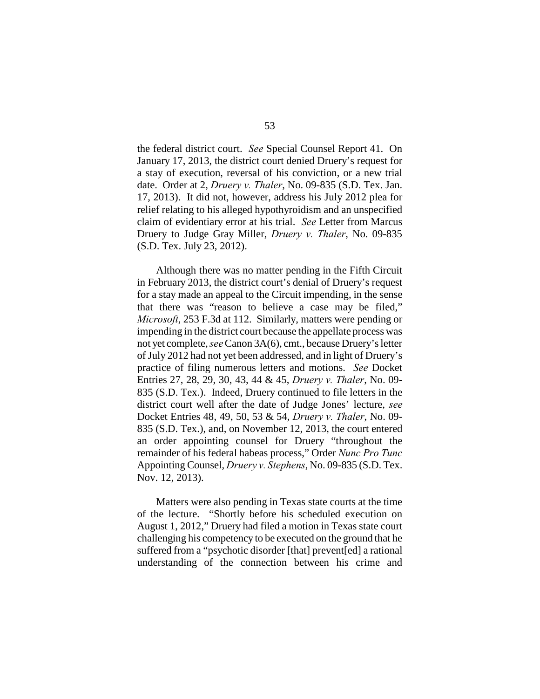the federal district court. *See* Special Counsel Report 41. On January 17, 2013, the district court denied Druery's request for a stay of execution, reversal of his conviction, or a new trial date. Order at 2, *Druery v. Thaler*, No. 09-835 (S.D. Tex. Jan. 17, 2013). It did not, however, address his July 2012 plea for relief relating to his alleged hypothyroidism and an unspecified claim of evidentiary error at his trial. *See* Letter from Marcus Druery to Judge Gray Miller, *Druery v. Thaler*, No. 09-835 (S.D. Tex. July 23, 2012).

Although there was no matter pending in the Fifth Circuit in February 2013, the district court's denial of Druery's request for a stay made an appeal to the Circuit impending, in the sense that there was "reason to believe a case may be filed," *Microsoft*, 253 F.3d at 112. Similarly, matters were pending or impending in the district court because the appellate process was not yet complete, *see* Canon 3A(6), cmt., because Druery's letter of July 2012 had not yet been addressed, and in light of Druery's practice of filing numerous letters and motions. *See* Docket Entries 27, 28, 29, 30, 43, 44 & 45, *Druery v. Thaler*, No. 09- 835 (S.D. Tex.). Indeed, Druery continued to file letters in the district court well after the date of Judge Jones' lecture, *see* Docket Entries 48, 49, 50, 53 & 54, *Druery v. Thaler*, No. 09- 835 (S.D. Tex.), and, on November 12, 2013, the court entered an order appointing counsel for Druery "throughout the remainder of his federal habeas process," Order *Nunc Pro Tunc* Appointing Counsel, *Druery v. Stephens*, No. 09-835 (S.D. Tex. Nov. 12, 2013).

Matters were also pending in Texas state courts at the time of the lecture. "Shortly before his scheduled execution on August 1, 2012," Druery had filed a motion in Texas state court challenging his competency to be executed on the ground that he suffered from a "psychotic disorder [that] prevent[ed] a rational understanding of the connection between his crime and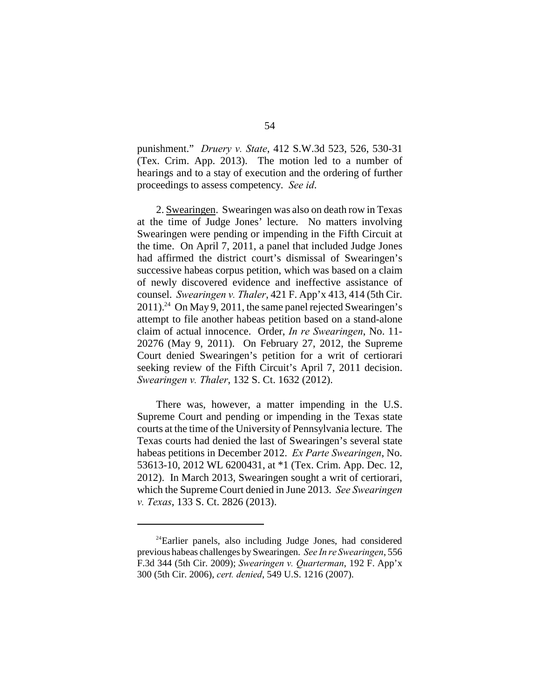punishment." *Druery v. State*, 412 S.W.3d 523, 526, 530-31 (Tex. Crim. App. 2013). The motion led to a number of hearings and to a stay of execution and the ordering of further proceedings to assess competency. *See id*.

2. Swearingen. Swearingen was also on death row in Texas at the time of Judge Jones' lecture. No matters involving Swearingen were pending or impending in the Fifth Circuit at the time. On April 7, 2011, a panel that included Judge Jones had affirmed the district court's dismissal of Swearingen's successive habeas corpus petition, which was based on a claim of newly discovered evidence and ineffective assistance of counsel. *Swearingen v. Thaler*, 421 F. App'x 413, 414 (5th Cir.  $2011$ ).<sup>24</sup> On May 9, 2011, the same panel rejected Swearingen's attempt to file another habeas petition based on a stand-alone claim of actual innocence. Order, *In re Swearingen*, No. 11- 20276 (May 9, 2011). On February 27, 2012, the Supreme Court denied Swearingen's petition for a writ of certiorari seeking review of the Fifth Circuit's April 7, 2011 decision. *Swearingen v. Thaler*, 132 S. Ct. 1632 (2012).

There was, however, a matter impending in the U.S. Supreme Court and pending or impending in the Texas state courts at the time of the University of Pennsylvania lecture. The Texas courts had denied the last of Swearingen's several state habeas petitions in December 2012. *Ex Parte Swearingen*, No. 53613-10, 2012 WL 6200431, at \*1 (Tex. Crim. App. Dec. 12, 2012). In March 2013, Swearingen sought a writ of certiorari, which the Supreme Court denied in June 2013. *See Swearingen v. Texas*, 133 S. Ct. 2826 (2013).

 $24$ Earlier panels, also including Judge Jones, had considered previous habeas challenges by Swearingen. *See In re Swearingen*, 556 F.3d 344 (5th Cir. 2009); *Swearingen v. Quarterman*, 192 F. App'x 300 (5th Cir. 2006), *cert. denied*, 549 U.S. 1216 (2007).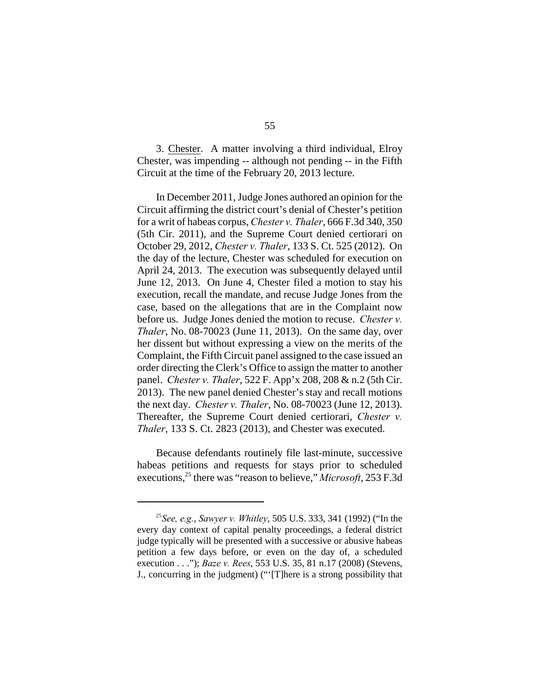3. Chester. A matter involving a third individual, Elroy Chester, was impending -- although not pending -- in the Fifth Circuit at the time of the February 20, 2013 lecture.

In December 2011, Judge Jones authored an opinion for the Circuit affirming the district court's denial of Chester's petition for a writ of habeas corpus, *Chester v. Thaler*, 666 F.3d 340, 350 (5th Cir. 2011), and the Supreme Court denied certiorari on October 29, 2012, *Chester v. Thaler*, 133 S. Ct. 525 (2012). On the day of the lecture, Chester was scheduled for execution on April 24, 2013. The execution was subsequently delayed until June 12, 2013. On June 4, Chester filed a motion to stay his execution, recall the mandate, and recuse Judge Jones from the case, based on the allegations that are in the Complaint now before us. Judge Jones denied the motion to recuse. *Chester v. Thaler*, No. 08-70023 (June 11, 2013). On the same day, over her dissent but without expressing a view on the merits of the Complaint, the Fifth Circuit panel assigned to the case issued an order directing the Clerk's Office to assign the matter to another panel. *Chester v. Thaler*, 522 F. App'x 208, 208 & n.2 (5th Cir. 2013). The new panel denied Chester's stay and recall motions the next day. *Chester v. Thaler*, No. 08-70023 (June 12, 2013). Thereafter, the Supreme Court denied certiorari, *Chester v. Thaler*, 133 S. Ct. 2823 (2013), and Chester was executed.

Because defendants routinely file last-minute, successive habeas petitions and requests for stays prior to scheduled executions,<sup>25</sup> there was "reason to believe," *Microsoft*, 253 F.3d

<sup>&</sup>lt;sup>25</sup> See, e.g., *Sawyer v. Whitley*, 505 U.S. 333, 341 (1992) ("In the every day context of capital penalty proceedings, a federal district judge typically will be presented with a successive or abusive habeas petition a few days before, or even on the day of, a scheduled execution . . ."); *Baze v. Rees*, 553 U.S. 35, 81 n.17 (2008) (Stevens, J., concurring in the judgment) ("'[T]here is a strong possibility that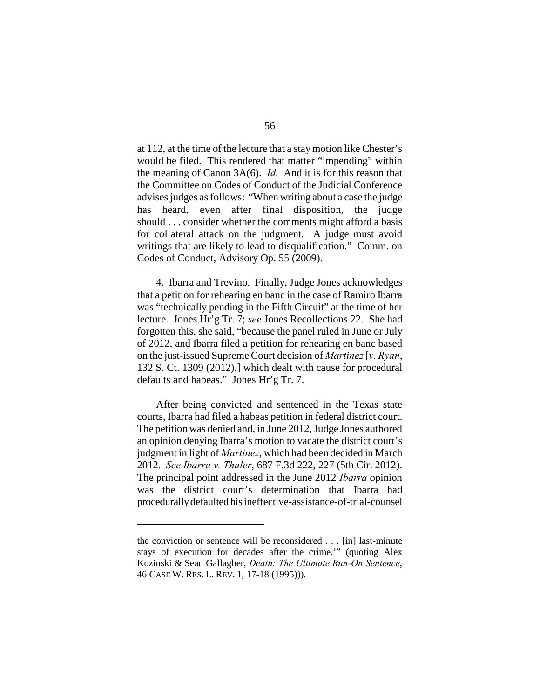at 112, at the time of the lecture that a stay motion like Chester's would be filed. This rendered that matter "impending" within the meaning of Canon 3A(6). *Id.* And it is for this reason that the Committee on Codes of Conduct of the Judicial Conference advises judges as follows: "When writing about a case the judge has heard, even after final disposition, the judge should . . . consider whether the comments might afford a basis for collateral attack on the judgment. A judge must avoid writings that are likely to lead to disqualification." Comm. on Codes of Conduct, Advisory Op. 55 (2009).

4. Ibarra and Trevino. Finally, Judge Jones acknowledges that a petition for rehearing en banc in the case of Ramiro Ibarra was "technically pending in the Fifth Circuit" at the time of her lecture. Jones Hr'g Tr. 7; *see* Jones Recollections 22. She had forgotten this, she said, "because the panel ruled in June or July of 2012, and Ibarra filed a petition for rehearing en banc based on the just-issued Supreme Court decision of *Martinez* [*v. Ryan*, 132 S. Ct. 1309 (2012),] which dealt with cause for procedural defaults and habeas." Jones Hr'g Tr. 7.

After being convicted and sentenced in the Texas state courts, Ibarra had filed a habeas petition in federal district court. The petition was denied and, in June 2012, Judge Jones authored an opinion denying Ibarra's motion to vacate the district court's judgment in light of *Martinez*, which had been decided in March 2012. *See Ibarra v. Thaler*, 687 F.3d 222, 227 (5th Cir. 2012). The principal point addressed in the June 2012 *Ibarra* opinion was the district court's determination that Ibarra had procedurally defaulted his ineffective-assistance-of-trial-counsel

the conviction or sentence will be reconsidered . . . [in] last-minute stays of execution for decades after the crime.'" (quoting Alex Kozinski & Sean Gallagher, *Death: The Ultimate Run-On Sentence*, 46 CASE W. RES. L. REV. 1, 17-18 (1995))).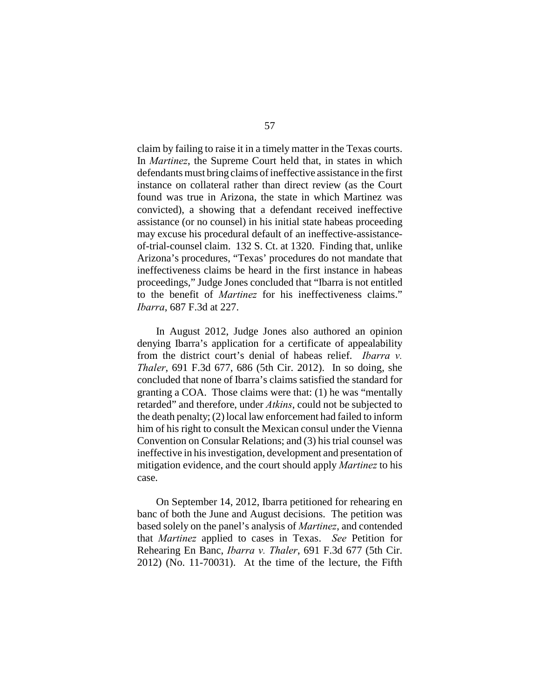claim by failing to raise it in a timely matter in the Texas courts. In *Martinez*, the Supreme Court held that, in states in which defendants must bring claims of ineffective assistance in the first instance on collateral rather than direct review (as the Court found was true in Arizona, the state in which Martinez was convicted), a showing that a defendant received ineffective assistance (or no counsel) in his initial state habeas proceeding may excuse his procedural default of an ineffective-assistanceof-trial-counsel claim. 132 S. Ct. at 1320. Finding that, unlike Arizona's procedures, "Texas' procedures do not mandate that ineffectiveness claims be heard in the first instance in habeas proceedings," Judge Jones concluded that "Ibarra is not entitled to the benefit of *Martinez* for his ineffectiveness claims." *Ibarra*, 687 F.3d at 227.

In August 2012, Judge Jones also authored an opinion denying Ibarra's application for a certificate of appealability from the district court's denial of habeas relief. *Ibarra v. Thaler*, 691 F.3d 677, 686 (5th Cir. 2012). In so doing, she concluded that none of Ibarra's claims satisfied the standard for granting a COA. Those claims were that: (1) he was "mentally retarded" and therefore, under *Atkins*, could not be subjected to the death penalty; (2) local law enforcement had failed to inform him of his right to consult the Mexican consul under the Vienna Convention on Consular Relations; and (3) his trial counsel was ineffective in his investigation, development and presentation of mitigation evidence, and the court should apply *Martinez* to his case.

On September 14, 2012, Ibarra petitioned for rehearing en banc of both the June and August decisions. The petition was based solely on the panel's analysis of *Martinez*, and contended that *Martinez* applied to cases in Texas. *See* Petition for Rehearing En Banc, *Ibarra v. Thaler*, 691 F.3d 677 (5th Cir. 2012) (No. 11-70031). At the time of the lecture, the Fifth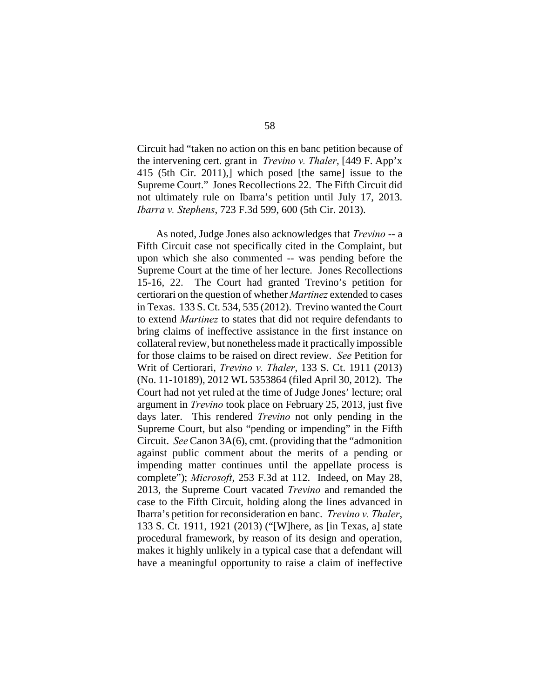Circuit had "taken no action on this en banc petition because of the intervening cert. grant in *Trevino v. Thaler*, [449 F. App'x 415 (5th Cir. 2011),] which posed [the same] issue to the Supreme Court." Jones Recollections 22. The Fifth Circuit did not ultimately rule on Ibarra's petition until July 17, 2013. *Ibarra v. Stephens*, 723 F.3d 599, 600 (5th Cir. 2013).

As noted, Judge Jones also acknowledges that *Trevino* -- a Fifth Circuit case not specifically cited in the Complaint, but upon which she also commented -- was pending before the Supreme Court at the time of her lecture. Jones Recollections 15-16, 22. The Court had granted Trevino's petition for certiorari on the question of whether *Martinez* extended to cases in Texas. 133 S. Ct. 534, 535 (2012). Trevino wanted the Court to extend *Martinez* to states that did not require defendants to bring claims of ineffective assistance in the first instance on collateral review, but nonetheless made it practically impossible for those claims to be raised on direct review. *See* Petition for Writ of Certiorari, *Trevino v. Thaler*, 133 S. Ct. 1911 (2013) (No. 11-10189), 2012 WL 5353864 (filed April 30, 2012). The Court had not yet ruled at the time of Judge Jones' lecture; oral argument in *Trevino* took place on February 25, 2013, just five days later. This rendered *Trevino* not only pending in the Supreme Court, but also "pending or impending" in the Fifth Circuit. *See* Canon 3A(6), cmt. (providing that the "admonition against public comment about the merits of a pending or impending matter continues until the appellate process is complete"); *Microsoft*, 253 F.3d at 112. Indeed, on May 28, 2013, the Supreme Court vacated *Trevino* and remanded the case to the Fifth Circuit, holding along the lines advanced in Ibarra's petition for reconsideration en banc. *Trevino v. Thaler*, 133 S. Ct. 1911, 1921 (2013) ("[W]here, as [in Texas, a] state procedural framework, by reason of its design and operation, makes it highly unlikely in a typical case that a defendant will have a meaningful opportunity to raise a claim of ineffective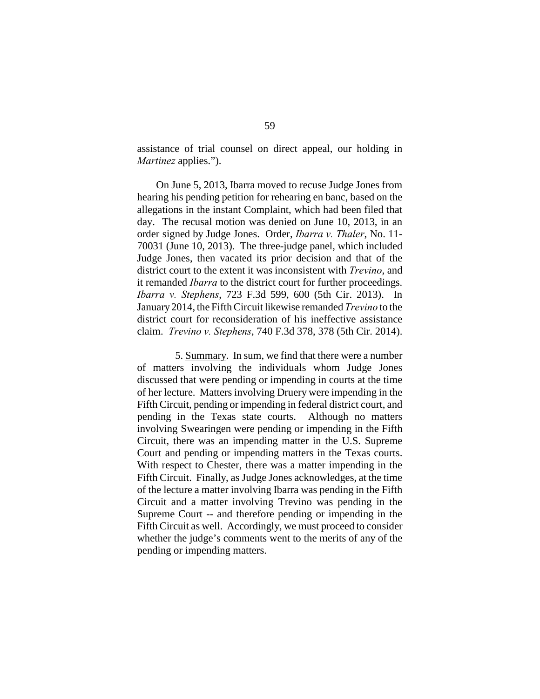assistance of trial counsel on direct appeal, our holding in *Martinez* applies.").

On June 5, 2013, Ibarra moved to recuse Judge Jones from hearing his pending petition for rehearing en banc, based on the allegations in the instant Complaint, which had been filed that day. The recusal motion was denied on June 10, 2013, in an order signed by Judge Jones. Order, *Ibarra v. Thaler*, No. 11- 70031 (June 10, 2013). The three-judge panel, which included Judge Jones, then vacated its prior decision and that of the district court to the extent it was inconsistent with *Trevino*, and it remanded *Ibarra* to the district court for further proceedings. *Ibarra v. Stephens*, 723 F.3d 599, 600 (5th Cir. 2013). In January 2014, the Fifth Circuit likewise remanded *Trevino* to the district court for reconsideration of his ineffective assistance claim. *Trevino v. Stephens*, 740 F.3d 378, 378 (5th Cir. 2014).

5. Summary. In sum, we find that there were a number of matters involving the individuals whom Judge Jones discussed that were pending or impending in courts at the time of her lecture. Matters involving Druery were impending in the Fifth Circuit, pending or impending in federal district court, and pending in the Texas state courts. Although no matters involving Swearingen were pending or impending in the Fifth Circuit, there was an impending matter in the U.S. Supreme Court and pending or impending matters in the Texas courts. With respect to Chester, there was a matter impending in the Fifth Circuit. Finally, as Judge Jones acknowledges, at the time of the lecture a matter involving Ibarra was pending in the Fifth Circuit and a matter involving Trevino was pending in the Supreme Court -- and therefore pending or impending in the Fifth Circuit as well. Accordingly, we must proceed to consider whether the judge's comments went to the merits of any of the pending or impending matters.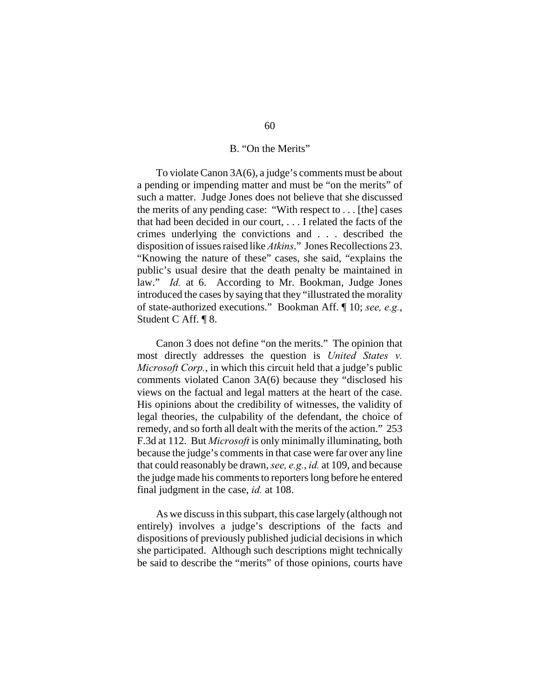### B. "On the Merits"

To violate Canon 3A(6), a judge's comments must be about a pending or impending matter and must be "on the merits" of such a matter. Judge Jones does not believe that she discussed the merits of any pending case: "With respect to . . . [the] cases that had been decided in our court, . . . I related the facts of the crimes underlying the convictions and . . . described the disposition of issues raised like *Atkins*." Jones Recollections 23. "Knowing the nature of these" cases, she said, "explains the public's usual desire that the death penalty be maintained in law." *Id.* at 6. According to Mr. Bookman, Judge Jones introduced the cases by saying that they "illustrated the morality of state-authorized executions." Bookman Aff. ¶ 10; *see, e.g.*, Student C Aff. ¶ 8.

Canon 3 does not define "on the merits." The opinion that most directly addresses the question is *United States v. Microsoft Corp.*, in which this circuit held that a judge's public comments violated Canon 3A(6) because they "disclosed his views on the factual and legal matters at the heart of the case. His opinions about the credibility of witnesses, the validity of legal theories, the culpability of the defendant, the choice of remedy, and so forth all dealt with the merits of the action." 253 F.3d at 112. But *Microsoft* is only minimally illuminating, both because the judge's comments in that case were far over any line that could reasonably be drawn, *see, e.g.*, *id.* at 109, and because the judge made his comments to reporters long before he entered final judgment in the case, *id.* at 108.

As we discuss in this subpart, this case largely (although not entirely) involves a judge's descriptions of the facts and dispositions of previously published judicial decisions in which she participated. Although such descriptions might technically be said to describe the "merits" of those opinions, courts have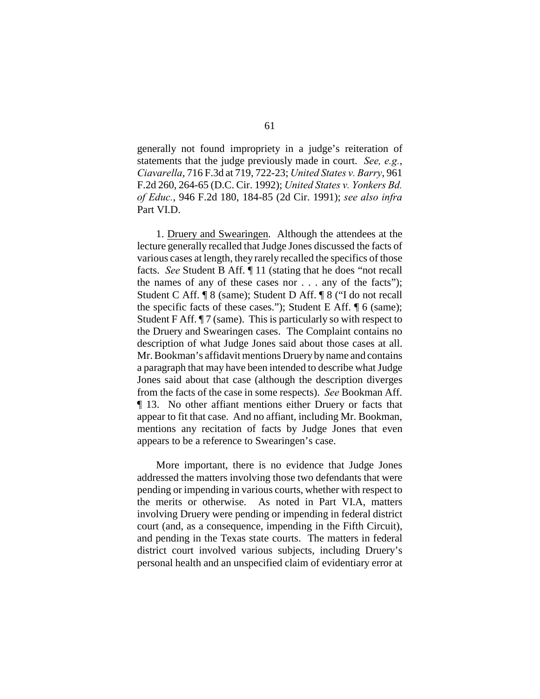generally not found impropriety in a judge's reiteration of statements that the judge previously made in court. *See, e.g.*, *Ciavarella*, 716 F.3d at 719, 722-23; *United States v. Barry*, 961 F.2d 260, 264-65 (D.C. Cir. 1992); *United States v. Yonkers Bd. of Educ.*, 946 F.2d 180, 184-85 (2d Cir. 1991); *see also infra* Part VI.D.

1. Druery and Swearingen. Although the attendees at the lecture generally recalled that Judge Jones discussed the facts of various cases at length, they rarely recalled the specifics of those facts. *See* Student B Aff. ¶ 11 (stating that he does "not recall the names of any of these cases nor . . . any of the facts"); Student C Aff. ¶ 8 (same); Student D Aff. ¶ 8 ("I do not recall the specific facts of these cases."); Student E Aff. ¶ 6 (same); Student F Aff.  $\P$  7 (same). This is particularly so with respect to the Druery and Swearingen cases. The Complaint contains no description of what Judge Jones said about those cases at all. Mr. Bookman's affidavit mentions Druery by name and contains a paragraph that may have been intended to describe what Judge Jones said about that case (although the description diverges from the facts of the case in some respects). *See* Bookman Aff. ¶ 13. No other affiant mentions either Druery or facts that appear to fit that case. And no affiant, including Mr. Bookman, mentions any recitation of facts by Judge Jones that even appears to be a reference to Swearingen's case.

More important, there is no evidence that Judge Jones addressed the matters involving those two defendants that were pending or impending in various courts, whether with respect to the merits or otherwise. As noted in Part VI.A, matters involving Druery were pending or impending in federal district court (and, as a consequence, impending in the Fifth Circuit), and pending in the Texas state courts. The matters in federal district court involved various subjects, including Druery's personal health and an unspecified claim of evidentiary error at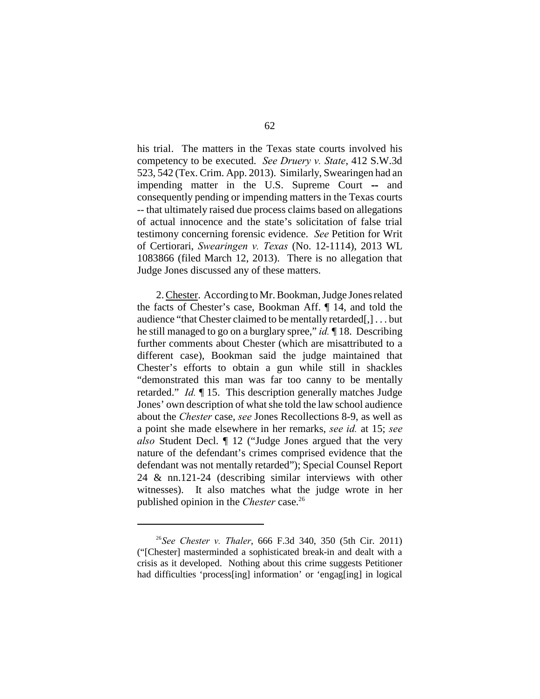his trial. The matters in the Texas state courts involved his competency to be executed. *See Druery v. State*, 412 S.W.3d 523, 542 (Tex. Crim. App. 2013). Similarly, Swearingen had an impending matter in the U.S. Supreme Court **--** and consequently pending or impending matters in the Texas courts -- that ultimately raised due process claims based on allegations of actual innocence and the state's solicitation of false trial testimony concerning forensic evidence. *See* Petition for Writ of Certiorari, *Swearingen v. Texas* (No. 12-1114), 2013 WL 1083866 (filed March 12, 2013). There is no allegation that Judge Jones discussed any of these matters.

2. Chester. According to Mr. Bookman, Judge Jones related the facts of Chester's case, Bookman Aff. ¶ 14, and told the audience "that Chester claimed to be mentally retarded[,] . . . but he still managed to go on a burglary spree," *id.* ¶ 18. Describing further comments about Chester (which are misattributed to a different case), Bookman said the judge maintained that Chester's efforts to obtain a gun while still in shackles "demonstrated this man was far too canny to be mentally retarded." *Id.* ¶ 15. This description generally matches Judge Jones' own description of what she told the law school audience about the *Chester* case, *see* Jones Recollections 8-9, as well as a point she made elsewhere in her remarks, *see id.* at 15; *see also* Student Decl. ¶ 12 ("Judge Jones argued that the very nature of the defendant's crimes comprised evidence that the defendant was not mentally retarded"); Special Counsel Report 24 & nn.121-24 (describing similar interviews with other witnesses). It also matches what the judge wrote in her published opinion in the *Chester* case.<sup>26</sup>

<sup>&</sup>lt;sup>26</sup>See Chester v. Thaler, 666 F.3d 340, 350 (5th Cir. 2011) ("[Chester] masterminded a sophisticated break-in and dealt with a crisis as it developed. Nothing about this crime suggests Petitioner had difficulties 'process[ing] information' or 'engag[ing] in logical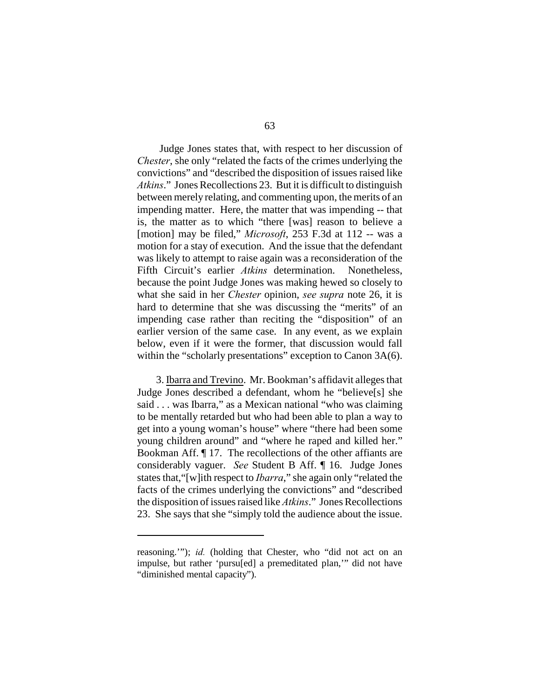Judge Jones states that, with respect to her discussion of *Chester*, she only "related the facts of the crimes underlying the convictions" and "described the disposition of issues raised like *Atkins*." Jones Recollections 23. But it is difficult to distinguish between merely relating, and commenting upon, the merits of an impending matter. Here, the matter that was impending -- that is, the matter as to which "there [was] reason to believe a [motion] may be filed," *Microsoft*, 253 F.3d at 112 -- was a motion for a stay of execution. And the issue that the defendant was likely to attempt to raise again was a reconsideration of the Fifth Circuit's earlier *Atkins* determination. Nonetheless, because the point Judge Jones was making hewed so closely to what she said in her *Chester* opinion, *see supra* note 26, it is hard to determine that she was discussing the "merits" of an impending case rather than reciting the "disposition" of an earlier version of the same case. In any event, as we explain below, even if it were the former, that discussion would fall within the "scholarly presentations" exception to Canon 3A(6).

3. Ibarra and Trevino. Mr. Bookman's affidavit alleges that Judge Jones described a defendant, whom he "believe[s] she said . . . was Ibarra," as a Mexican national "who was claiming to be mentally retarded but who had been able to plan a way to get into a young woman's house" where "there had been some young children around" and "where he raped and killed her." Bookman Aff. ¶ 17. The recollections of the other affiants are considerably vaguer. *See* Student B Aff. ¶ 16. Judge Jones states that,"[w]ith respect to *Ibarra*," she again only "related the facts of the crimes underlying the convictions" and "described the disposition of issues raised like *Atkins*." Jones Recollections 23. She says that she "simply told the audience about the issue.

reasoning.""); *id.* (holding that Chester, who "did not act on an impulse, but rather 'pursu[ed] a premeditated plan,'" did not have "diminished mental capacity").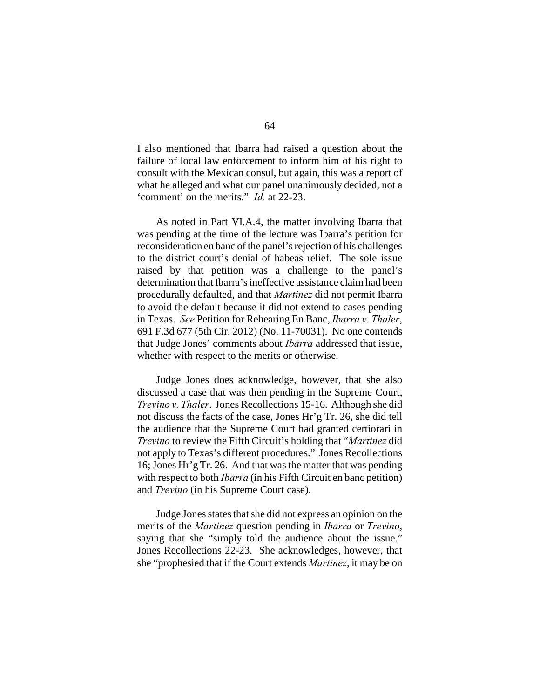I also mentioned that Ibarra had raised a question about the failure of local law enforcement to inform him of his right to consult with the Mexican consul, but again, this was a report of what he alleged and what our panel unanimously decided, not a 'comment' on the merits." *Id.* at 22-23.

As noted in Part VI.A.4, the matter involving Ibarra that was pending at the time of the lecture was Ibarra's petition for reconsideration en banc of the panel's rejection of his challenges to the district court's denial of habeas relief. The sole issue raised by that petition was a challenge to the panel's determination that Ibarra's ineffective assistance claim had been procedurally defaulted, and that *Martinez* did not permit Ibarra to avoid the default because it did not extend to cases pending in Texas. *See* Petition for Rehearing En Banc, *Ibarra v. Thaler*, 691 F.3d 677 (5th Cir. 2012) (No. 11-70031). No one contends that Judge Jones' comments about *Ibarra* addressed that issue, whether with respect to the merits or otherwise.

Judge Jones does acknowledge, however, that she also discussed a case that was then pending in the Supreme Court, *Trevino v. Thaler*. Jones Recollections 15-16. Although she did not discuss the facts of the case, Jones Hr'g Tr. 26, she did tell the audience that the Supreme Court had granted certiorari in *Trevino* to review the Fifth Circuit's holding that "*Martinez* did not apply to Texas's different procedures." Jones Recollections 16; Jones Hr'g Tr. 26. And that was the matter that was pending with respect to both *Ibarra* (in his Fifth Circuit en banc petition) and *Trevino* (in his Supreme Court case).

Judge Jones states that she did not express an opinion on the merits of the *Martinez* question pending in *Ibarra* or *Trevino*, saying that she "simply told the audience about the issue." Jones Recollections 22-23. She acknowledges, however, that she "prophesied that if the Court extends *Martinez*, it may be on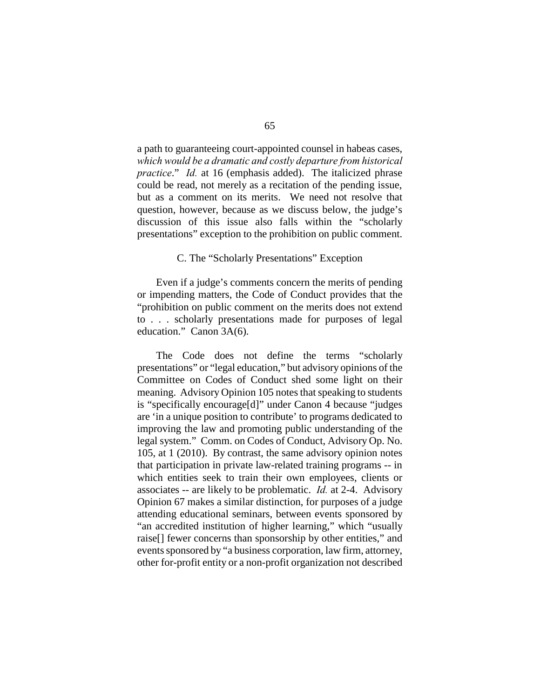a path to guaranteeing court-appointed counsel in habeas cases, *which would be a dramatic and costly departure from historical practice*." *Id.* at 16 (emphasis added). The italicized phrase could be read, not merely as a recitation of the pending issue, but as a comment on its merits. We need not resolve that question, however, because as we discuss below, the judge's discussion of this issue also falls within the "scholarly presentations" exception to the prohibition on public comment.

## C. The "Scholarly Presentations" Exception

Even if a judge's comments concern the merits of pending or impending matters, the Code of Conduct provides that the "prohibition on public comment on the merits does not extend to . . . scholarly presentations made for purposes of legal education." Canon 3A(6).

The Code does not define the terms "scholarly presentations" or "legal education," but advisory opinions of the Committee on Codes of Conduct shed some light on their meaning. Advisory Opinion 105 notes that speaking to students is "specifically encourage[d]" under Canon 4 because "judges are 'in a unique position to contribute' to programs dedicated to improving the law and promoting public understanding of the legal system." Comm. on Codes of Conduct, Advisory Op. No. 105, at 1 (2010). By contrast, the same advisory opinion notes that participation in private law-related training programs -- in which entities seek to train their own employees, clients or associates -- are likely to be problematic. *Id.* at 2-4. Advisory Opinion 67 makes a similar distinction, for purposes of a judge attending educational seminars, between events sponsored by "an accredited institution of higher learning," which "usually raise[] fewer concerns than sponsorship by other entities," and events sponsored by "a business corporation, law firm, attorney, other for-profit entity or a non-profit organization not described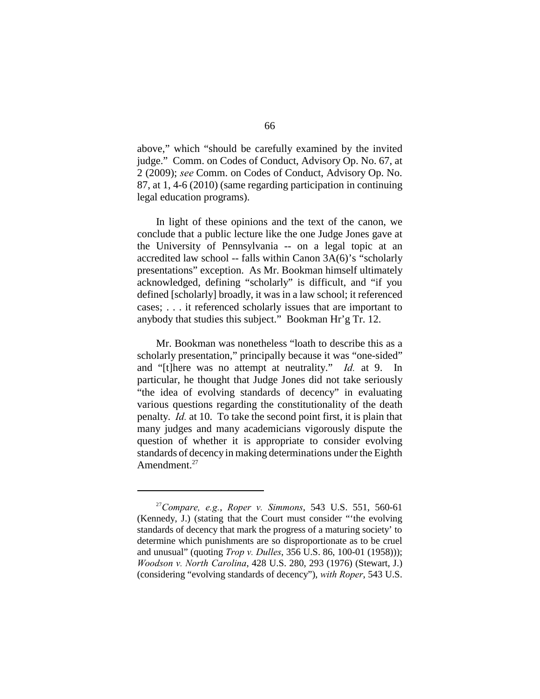above," which "should be carefully examined by the invited judge." Comm. on Codes of Conduct, Advisory Op. No. 67, at 2 (2009); *see* Comm. on Codes of Conduct, Advisory Op. No. 87, at 1, 4-6 (2010) (same regarding participation in continuing legal education programs).

In light of these opinions and the text of the canon, we conclude that a public lecture like the one Judge Jones gave at the University of Pennsylvania -- on a legal topic at an accredited law school -- falls within Canon 3A(6)'s "scholarly presentations" exception. As Mr. Bookman himself ultimately acknowledged, defining "scholarly" is difficult, and "if you defined [scholarly] broadly, it was in a law school; it referenced cases; . . . it referenced scholarly issues that are important to anybody that studies this subject." Bookman Hr'g Tr. 12.

Mr. Bookman was nonetheless "loath to describe this as a scholarly presentation," principally because it was "one-sided" and "[t]here was no attempt at neutrality." *Id.* at 9. In particular, he thought that Judge Jones did not take seriously "the idea of evolving standards of decency" in evaluating various questions regarding the constitutionality of the death penalty. *Id.* at 10. To take the second point first, it is plain that many judges and many academicians vigorously dispute the question of whether it is appropriate to consider evolving standards of decency in making determinations under the Eighth Amendment.<sup>27</sup>

 $^{27}$ Compare, e.g., Roper v. Simmons, 543 U.S. 551, 560-61 (Kennedy, J.) (stating that the Court must consider "'the evolving standards of decency that mark the progress of a maturing society' to determine which punishments are so disproportionate as to be cruel and unusual" (quoting *Trop v. Dulles*, 356 U.S. 86, 100-01 (1958))); *Woodson v. North Carolina*, 428 U.S. 280, 293 (1976) (Stewart, J.) (considering "evolving standards of decency"), *with Roper*, 543 U.S.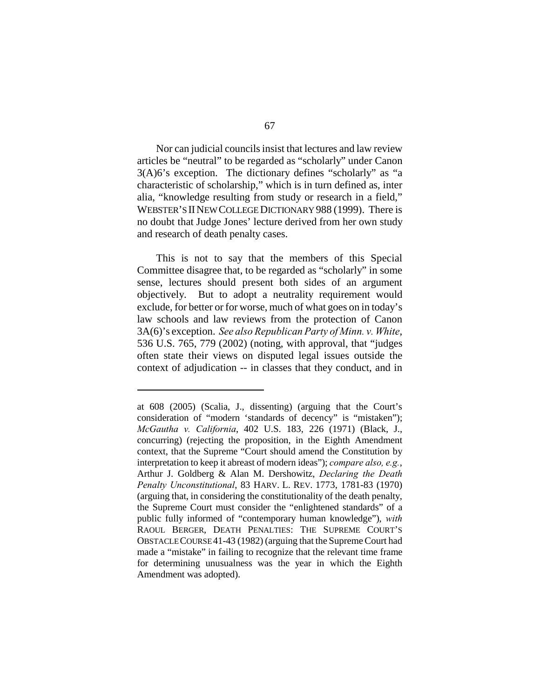Nor can judicial councils insist that lectures and law review articles be "neutral" to be regarded as "scholarly" under Canon 3(A)6's exception. The dictionary defines "scholarly" as "a characteristic of scholarship," which is in turn defined as, inter alia, "knowledge resulting from study or research in a field," WEBSTER'S IINEW COLLEGE DICTIONARY 988 (1999). There is no doubt that Judge Jones' lecture derived from her own study and research of death penalty cases.

This is not to say that the members of this Special Committee disagree that, to be regarded as "scholarly" in some sense, lectures should present both sides of an argument objectively. But to adopt a neutrality requirement would exclude, for better or for worse, much of what goes on in today's law schools and law reviews from the protection of Canon 3A(6)'s exception. *See also Republican Party of Minn. v. White*, 536 U.S. 765, 779 (2002) (noting, with approval, that "judges often state their views on disputed legal issues outside the context of adjudication -- in classes that they conduct, and in

at 608 (2005) (Scalia, J., dissenting) (arguing that the Court's consideration of "modern 'standards of decency" is "mistaken"); *McGautha v. California*, 402 U.S. 183, 226 (1971) (Black, J., concurring) (rejecting the proposition, in the Eighth Amendment context, that the Supreme "Court should amend the Constitution by interpretation to keep it abreast of modern ideas"); *compare also, e.g.*, Arthur J. Goldberg & Alan M. Dershowitz, *Declaring the Death Penalty Unconstitutional*, 83 HARV. L. REV. 1773, 1781-83 (1970) (arguing that, in considering the constitutionality of the death penalty, the Supreme Court must consider the "enlightened standards" of a public fully informed of "contemporary human knowledge"), *with* RAOUL BERGER, DEATH PENALTIES: THE SUPREME COURT'S OBSTACLE COURSE 41-43 (1982) (arguing that the Supreme Court had made a "mistake" in failing to recognize that the relevant time frame for determining unusualness was the year in which the Eighth Amendment was adopted).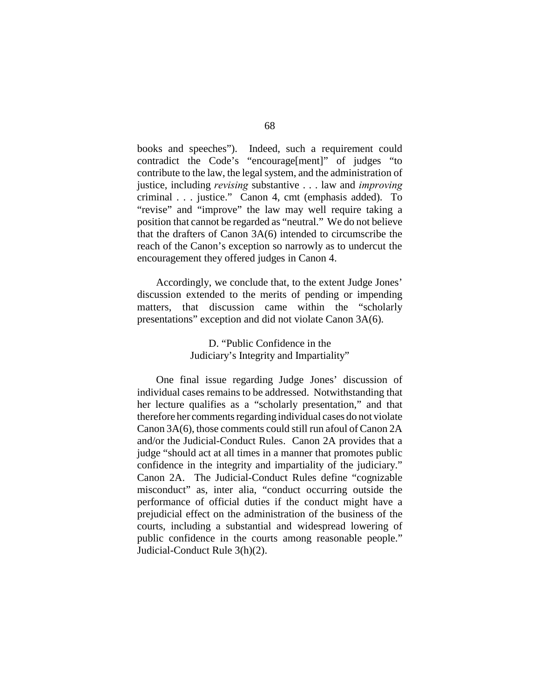books and speeches"). Indeed, such a requirement could contradict the Code's "encourage[ment]" of judges "to contribute to the law, the legal system, and the administration of justice, including *revising* substantive . . . law and *improving* criminal . . . justice." Canon 4, cmt (emphasis added). To "revise" and "improve" the law may well require taking a position that cannot be regarded as "neutral." We do not believe that the drafters of Canon 3A(6) intended to circumscribe the reach of the Canon's exception so narrowly as to undercut the encouragement they offered judges in Canon 4.

Accordingly, we conclude that, to the extent Judge Jones' discussion extended to the merits of pending or impending matters, that discussion came within the "scholarly presentations" exception and did not violate Canon 3A(6).

# D. "Public Confidence in the Judiciary's Integrity and Impartiality"

One final issue regarding Judge Jones' discussion of individual cases remains to be addressed. Notwithstanding that her lecture qualifies as a "scholarly presentation," and that therefore her comments regarding individual cases do not violate Canon 3A(6), those comments could still run afoul of Canon 2A and/or the Judicial-Conduct Rules. Canon 2A provides that a judge "should act at all times in a manner that promotes public confidence in the integrity and impartiality of the judiciary." Canon 2A. The Judicial-Conduct Rules define "cognizable misconduct" as, inter alia, "conduct occurring outside the performance of official duties if the conduct might have a prejudicial effect on the administration of the business of the courts, including a substantial and widespread lowering of public confidence in the courts among reasonable people." Judicial-Conduct Rule 3(h)(2).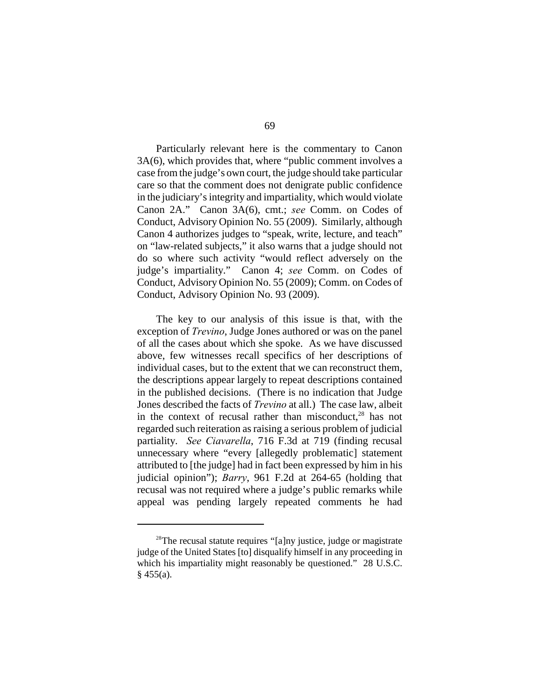Particularly relevant here is the commentary to Canon 3A(6), which provides that, where "public comment involves a case from the judge's own court, the judge should take particular care so that the comment does not denigrate public confidence in the judiciary's integrity and impartiality, which would violate Canon 2A." Canon 3A(6), cmt.; *see* Comm. on Codes of Conduct, Advisory Opinion No. 55 (2009). Similarly, although Canon 4 authorizes judges to "speak, write, lecture, and teach" on "law-related subjects," it also warns that a judge should not do so where such activity "would reflect adversely on the judge's impartiality." Canon 4; *see* Comm. on Codes of Conduct, Advisory Opinion No. 55 (2009); Comm. on Codes of Conduct, Advisory Opinion No. 93 (2009).

The key to our analysis of this issue is that, with the exception of *Trevino*, Judge Jones authored or was on the panel of all the cases about which she spoke. As we have discussed above, few witnesses recall specifics of her descriptions of individual cases, but to the extent that we can reconstruct them, the descriptions appear largely to repeat descriptions contained in the published decisions. (There is no indication that Judge Jones described the facts of *Trevino* at all.) The case law, albeit in the context of recusal rather than misconduct, $28$  has not regarded such reiteration as raising a serious problem of judicial partiality. *See Ciavarella*, 716 F.3d at 719 (finding recusal unnecessary where "every [allegedly problematic] statement attributed to [the judge] had in fact been expressed by him in his judicial opinion"); *Barry*, 961 F.2d at 264-65 (holding that recusal was not required where a judge's public remarks while appeal was pending largely repeated comments he had

 $28$ The recusal statute requires "[a]ny justice, judge or magistrate judge of the United States [to] disqualify himself in any proceeding in which his impartiality might reasonably be questioned." 28 U.S.C.  $§$  455(a).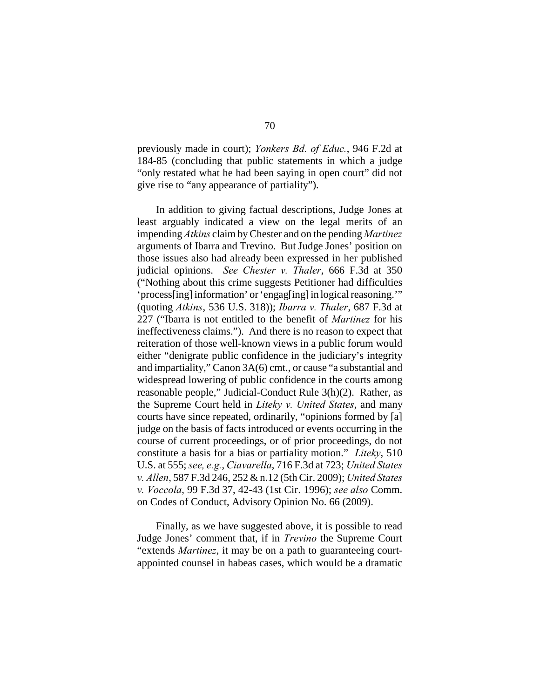previously made in court); *Yonkers Bd. of Educ.*, 946 F.2d at 184-85 (concluding that public statements in which a judge "only restated what he had been saying in open court" did not give rise to "any appearance of partiality").

In addition to giving factual descriptions, Judge Jones at least arguably indicated a view on the legal merits of an impending *Atkins* claim by Chester and on the pending *Martinez* arguments of Ibarra and Trevino. But Judge Jones' position on those issues also had already been expressed in her published judicial opinions. *See Chester v. Thaler*, 666 F.3d at 350 ("Nothing about this crime suggests Petitioner had difficulties 'process[ing] information' or 'engag[ing] in logical reasoning.'" (quoting *Atkins*, 536 U.S. 318)); *Ibarra v. Thaler*, 687 F.3d at 227 ("Ibarra is not entitled to the benefit of *Martinez* for his ineffectiveness claims."). And there is no reason to expect that reiteration of those well-known views in a public forum would either "denigrate public confidence in the judiciary's integrity and impartiality," Canon 3A(6) cmt., or cause "a substantial and widespread lowering of public confidence in the courts among reasonable people," Judicial-Conduct Rule 3(h)(2). Rather, as the Supreme Court held in *Liteky v. United States*, and many courts have since repeated, ordinarily, "opinions formed by [a] judge on the basis of facts introduced or events occurring in the course of current proceedings, or of prior proceedings, do not constitute a basis for a bias or partiality motion." *Liteky*, 510 U.S. at 555; *see, e.g.*, *Ciavarella*, 716 F.3d at 723; *United States v. Allen*, 587 F.3d 246, 252 & n.12 (5th Cir. 2009); *United States v. Voccola*, 99 F.3d 37, 42-43 (1st Cir. 1996); *see also* Comm. on Codes of Conduct, Advisory Opinion No. 66 (2009).

Finally, as we have suggested above, it is possible to read Judge Jones' comment that, if in *Trevino* the Supreme Court "extends *Martinez*, it may be on a path to guaranteeing courtappointed counsel in habeas cases, which would be a dramatic